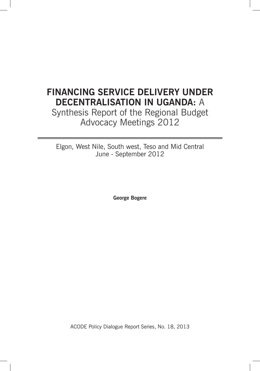# **Financing Service Delivery Under Decentralisation in Uganda:** A

Synthesis Report of the Regional Budget Advocacy Meetings 2012

Elgon, West Nile, South west, Teso and Mid Central June - September 2012

**George Bogere**

ACODE Policy Dialogue Report Series, No. 18, 2013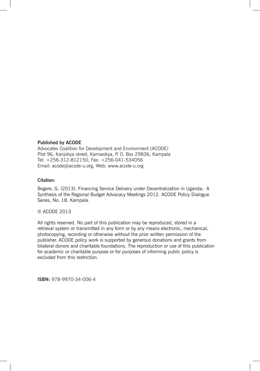#### **Published by ACODE**

Advocates Coalition for Development and Environment (ACODE) Plot 96, Kanjokya street, Kamwokya, P. O. Box 29836, Kampala Tel: +256-312-812150, Fax: +256-041-534056 Email: acode@acode-u.org, Web: www.acode-u.org

#### **Citation:**

Bogere, G. (2013). Financing Service Delivery under Decentralization in Uganda: A Synthesis of the Regional Budget Advocacy Meetings 2012. ACODE Policy Dialogue Series, No. 18. Kampala.

#### © ACODE 2013

All rights reserved. No part of this publication may be reproduced, stored in a retrieval system or transmitted in any form or by any means electronic, mechanical, photocopying, recording or otherwise without the prior written permission of the publisher. ACODE policy work is supported by generous donations and grants from bilateral donors and charitable foundations. The reproduction or use of this publication for academic or charitable purpose or for purposes of informing public policy is excluded from this restriction.

**ISBN:** 978-9970-34-006-4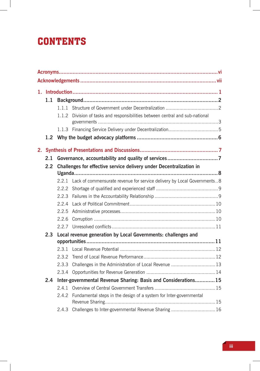# **CONTENTS**

|    | 1.1 |       |                                                                         |  |
|----|-----|-------|-------------------------------------------------------------------------|--|
|    |     | 1.1.1 |                                                                         |  |
|    |     | 1.1.2 | Division of tasks and responsibilities between central and sub-national |  |
|    |     |       |                                                                         |  |
|    |     |       |                                                                         |  |
|    |     |       |                                                                         |  |
| 2. |     |       |                                                                         |  |
|    | 2.1 |       |                                                                         |  |
|    | 2.2 |       | Challenges for effective service delivery under Decentralization in     |  |
|    |     |       |                                                                         |  |
|    |     | 2.2.1 | Lack of commensurate revenue for service delivery by Local Governments8 |  |
|    |     | 2.2.2 |                                                                         |  |
|    |     | 2.2.3 |                                                                         |  |
|    |     | 2.2.4 |                                                                         |  |
|    |     | 2.2.5 |                                                                         |  |
|    |     | 2.2.6 |                                                                         |  |
|    |     |       |                                                                         |  |
|    | 2.3 |       | Local revenue generation by Local Governments: challenges and           |  |
|    |     |       |                                                                         |  |
|    |     | 2.3.1 |                                                                         |  |
|    |     | 2.3.2 |                                                                         |  |
|    |     | 2.3.3 | Challenges in the Administration of Local Revenue  13                   |  |
|    |     | 2.3.4 |                                                                         |  |
|    | 2.4 |       | Inter-governmental Revenue Sharing: Basis and Considerations 15         |  |
|    |     | 2.4.1 |                                                                         |  |
|    |     | 2.4.2 | Fundamental steps in the design of a system for Inter-governmental      |  |
|    |     |       | 2.4.3 Challenges to Inter-governmental Revenue Sharing  16              |  |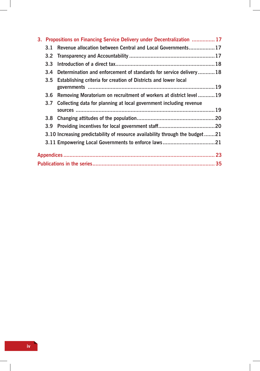|  | 3. Propositions on Financing Service Delivery under Decentralization  17     |  |
|--|------------------------------------------------------------------------------|--|
|  | 3.1 Revenue allocation between Central and Local Governments17               |  |
|  |                                                                              |  |
|  |                                                                              |  |
|  | 3.4 Determination and enforcement of standards for service delivery18        |  |
|  | 3.5 Establishing criteria for creation of Districts and lower local          |  |
|  | 3.6 Removing Moratorium on recruitment of workers at district level  19      |  |
|  | 3.7 Collecting data for planning at local government including revenue       |  |
|  |                                                                              |  |
|  |                                                                              |  |
|  |                                                                              |  |
|  | 3.10 Increasing predictability of resource availability through the budget21 |  |
|  |                                                                              |  |
|  |                                                                              |  |
|  |                                                                              |  |
|  |                                                                              |  |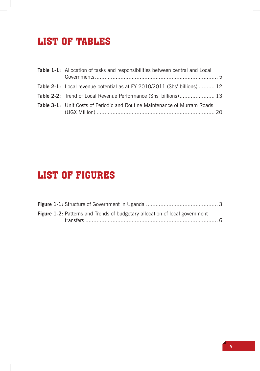# List of Tables

| Table 1-1: Allocation of tasks and responsibilities between central and Local    |  |
|----------------------------------------------------------------------------------|--|
|                                                                                  |  |
| <b>Table 2-1:</b> Local revenue potential as at FY 2010/2011 (Shs' billions)  12 |  |
| <b>Table 2-2:</b> Trend of Local Revenue Performance (Shs' billions) 13          |  |
| <b>Table 3-1:</b> Unit Costs of Periodic and Routine Maintenance of Murram Roads |  |

# List of Figures

|  | Figure 1-2: Patterns and Trends of budgetary allocation of local government |  |
|--|-----------------------------------------------------------------------------|--|
|  |                                                                             |  |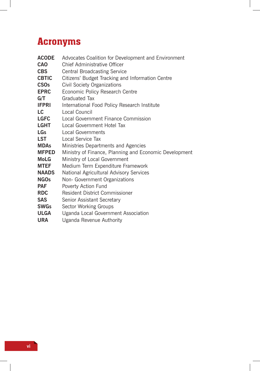# Acronyms

| <b>ACODE</b> | Advocates Coalition for Development and Environment    |
|--------------|--------------------------------------------------------|
| <b>CAO</b>   | Chief Administrative Officer                           |
| <b>CBS</b>   | <b>Central Broadcasting Service</b>                    |
| <b>CBTIC</b> | Citizens' Budget Tracking and Information Centre       |
| <b>CSOs</b>  | <b>Civil Society Organizations</b>                     |
| <b>EPRC</b>  | Economic Policy Research Centre                        |
| G/T          | <b>Graduated Tax</b>                                   |
| <b>IFPRI</b> | International Food Policy Research Institute           |
| LC           | Local Council                                          |
| <b>LGFC</b>  | Local Government Finance Commission                    |
| LGHT         | Local Government Hotel Tax                             |
| <b>LGs</b>   | <b>Local Governments</b>                               |
| <b>LST</b>   | Local Service Tax                                      |
| <b>MDAs</b>  | Ministries Departments and Agencies                    |
| <b>MFPED</b> | Ministry of Finance, Planning and Economic Development |
| <b>MoLG</b>  | Ministry of Local Government                           |
| <b>MTEF</b>  | Medium Term Expenditure Framework                      |
| <b>NAADS</b> | National Agricultural Advisory Services                |
| <b>NGOs</b>  | Non- Government Organizations                          |
| <b>PAF</b>   | Poverty Action Fund                                    |
| <b>RDC</b>   | Resident District Commissioner                         |
| <b>SAS</b>   | Senior Assistant Secretary                             |
| <b>SWGs</b>  | Sector Working Groups                                  |
| <b>ULGA</b>  | Uganda Local Government Association                    |
| URA          | Uganda Revenue Authority                               |

 $\mathbb{R}$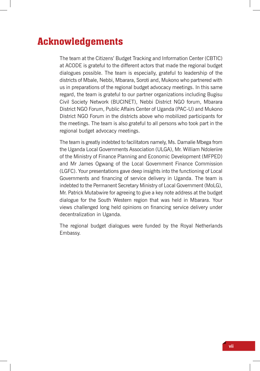# Acknowledgements

The team at the Citizens' Budget Tracking and Information Center (CBTIC) at ACODE is grateful to the different actors that made the regional budget dialogues possible. The team is especially, grateful to leadership of the districts of Mbale, Nebbi, Mbarara, Soroti and, Mukono who partnered with us in preparations of the regional budget advocacy meetings. In this same regard, the team is grateful to our partner organizations including Bugisu Civil Society Network (BUCINET), Nebbi District NGO forum, Mbarara District NGO Forum, Public Affairs Center of Uganda (PAC-U) and Mukono District NGO Forum in the districts above who mobilized participants for the meetings. The team is also grateful to all persons who took part in the regional budget advocacy meetings.

The team is greatly indebted to facilitators namely, Ms. Damalie Mbega from the Uganda Local Governments Association (ULGA), Mr. William Ndoleriire of the Ministry of Finance Planning and Economic Development (MFPED) and Mr James Ogwang of the Local Government Finance Commission (LGFC). Your presentations gave deep insights into the functioning of Local Governments and financing of service delivery in Uganda. The team is indebted to the Permanent Secretary Ministry of Local Government (MoLG), Mr. Patrick Mutabwire for agreeing to give a key note address at the budget dialogue for the South Western region that was held in Mbarara. Your views challenged long held opinions on financing service delivery under decentralization in Uganda.

The regional budget dialogues were funded by the Royal Netherlands Embassy.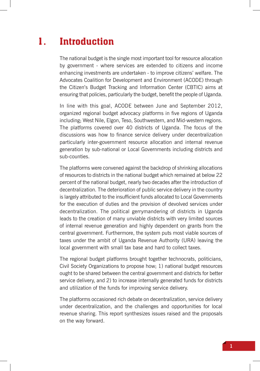# 1. Introduction

The national budget is the single most important tool for resource allocation by government - where services are extended to citizens and income enhancing investments are undertaken - to improve citizens' welfare. The Advocates Coalition for Development and Environment (ACODE) through the Citizen's Budget Tracking and Information Center (CBTIC) aims at ensuring that policies, particularly the budget, benefit the people of Uganda.

In line with this goal, ACODE between June and September 2012, organized regional budget advocacy platforms in five regions of Uganda including; West Nile, Elgon, Teso, Southwestern, and Mid-western regions. The platforms covered over 40 districts of Uganda. The focus of the discussions was how to finance service delivery under decentralization particularly inter-government resource allocation and internal revenue generation by sub-national or Local Governments including districts and sub-counties.

The platforms were convened against the backdrop of shrinking allocations of resources to districts in the national budget which remained at below 22 percent of the national budget, nearly two decades after the introduction of decentralization. The deterioration of public service delivery in the country is largely attributed to the insufficient funds allocated to Local Governments for the execution of duties and the provision of devolved services under decentralization. The political gerrymandering of districts in Uganda leads to the creation of many unviable districts with very limited sources of internal revenue generation and highly dependent on grants from the central government. Furthermore, the system puts most viable sources of taxes under the ambit of Uganda Revenue Authority (URA) leaving the local government with small tax base and hard to collect taxes.

The regional budget platforms brought together technocrats, politicians, Civil Society Organizations to propose how; 1) national budget resources ought to be shared between the central government and districts for better service delivery, and 2) to increase internally generated funds for districts and utilization of the funds for improving service delivery.

The platforms occasioned rich debate on decentralization, service delivery under decentralization, and the challenges and opportunities for local revenue sharing. This report synthesizes issues raised and the proposals on the way forward.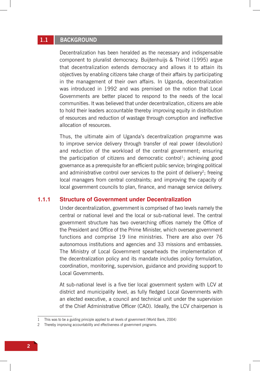# **1.1 Background**

Decentralization has been heralded as the necessary and indispensable component to pluralist democracy. Buijtenhuijs & Thiriot (1995) argue that decentralization extends democracy and allows it to attain its objectives by enabling citizens take charge of their affairs by participating in the management of their own affairs. In Uganda, decentralization was introduced in 1992 and was premised on the notion that Local Governments are better placed to respond to the needs of the local communities. It was believed that under decentralization, citizens are able to hold their leaders accountable thereby improving equity in distribution of resources and reduction of wastage through corruption and ineffective allocation of resources.

Thus, the ultimate aim of Uganda's decentralization programme was to improve service delivery through transfer of real power (devolution) and reduction of the workload of the central government; ensuring the participation of citizens and democratic control<sup>1</sup>; achieving good governance as a prerequisite for an efficient public service; bringing political and administrative control over services to the point of delivery<sup>2</sup>; freeing local managers from central constraints; and improving the capacity of local government councils to plan, finance, and manage service delivery.

#### **1.1.1 Structure of Government under Decentralization**

Under decentralization, government is comprised of two levels namely the central or national level and the local or sub-national level. The central government structure has two overarching offices namely the Office of the President and Office of the Prime Minister, which oversee government functions and comprise 19 line ministries. There are also over 76 autonomous institutions and agencies and 33 missions and embassies. The Ministry of Local Government spearheads the implementation of the decentralization policy and its mandate includes policy formulation, coordination, monitoring, supervision, guidance and providing support to Local Governments.

At sub-national level is a five tier local government system with LCV at district and municipality level, as fully fledged Local Governments with an elected executive, a council and technical unit under the supervision of the Chief Administrative Officer (CAO). Ideally, the LCV chairperson is

<sup>1</sup> This was to be a guiding principle applied to all levels of government (World Bank, 2004)

<sup>2</sup> Thereby improving accountability and effectiveness of government programs.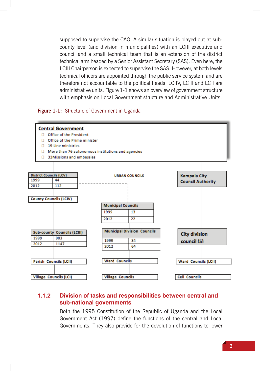supposed to supervise the CAO. A similar situation is played out at subcounty level (and division in municipalities) with an LCIII executive and council and a small technical team that is an extension of the district technical arm headed by a Senior Assistant Secretary (SAS). Even here, the LCIII Chairperson is expected to supervise the SAS. However, at both levels technical officers are appointed through the public service system and are therefore not accountable to the political heads. LC IV, LC II and LC I are administrative units. Figure 1-1 shows an overview of government structure with emphasis on Local Government structure and Administrative Units.

#### **Figure 1-1:** Structure of Government in Uganda



## **1.1.2 Division of tasks and responsibilities between central and sub-national governments**

Both the 1995 Constitution of the Republic of Uganda and the Local Government Act (1997) define the functions of the central and Local Governments. They also provide for the devolution of functions to lower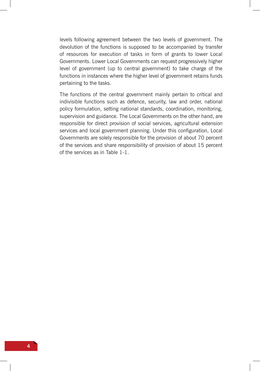levels following agreement between the two levels of government. The devolution of the functions is supposed to be accompanied by transfer of resources for execution of tasks in form of grants to lower Local Governments. Lower Local Governments can request progressively higher level of government (up to central government) to take charge of the functions in instances where the higher level of government retains funds pertaining to the tasks.

The functions of the central government mainly pertain to critical and indivisible functions such as defence, security, law and order, national policy formulation, setting national standards, coordination, monitoring, supervision and guidance. The Local Governments on the other hand, are responsible for direct provision of social services, agricultural extension services and local government planning. Under this configuration, Local Governments are solely responsible for the provision of about 70 percent of the services and share responsibility of provision of about 15 percent of the services as in Table 1-1.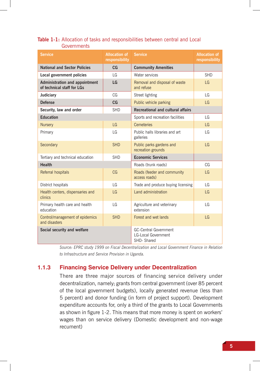| <b>Service</b>                                                      | <b>Allocation of</b><br>responsibility | <b>Service</b>                                                           | <b>Allocation of</b><br>responsibility |
|---------------------------------------------------------------------|----------------------------------------|--------------------------------------------------------------------------|----------------------------------------|
| <b>National and Sector Policies</b>                                 | CG                                     | <b>Community Amenities</b>                                               |                                        |
| Local government policies                                           | $\overline{G}$                         | Water services                                                           | <b>SHD</b>                             |
| <b>Administration and appointment</b><br>of technical staff for LGs | LG                                     | Removal and disposal of waste<br>and refuse                              | LG                                     |
| Judiciary                                                           | CG                                     | Street lighting                                                          | LG                                     |
| <b>Defense</b>                                                      | CG                                     | Public vehicle parking                                                   | LG                                     |
| Security, law and order                                             | <b>SHD</b>                             | <b>Recreational and cultural affairs</b>                                 |                                        |
| <b>Education</b>                                                    |                                        | Sports and recreation facilities                                         | $\overline{G}$                         |
| <b>Nursery</b>                                                      | $\overline{G}$                         | Cemeteries                                                               | LG                                     |
| Primary                                                             | LG                                     | Public halls libraries and art<br>galleries                              | LG                                     |
| Secondary                                                           | <b>SHD</b>                             | Public parks gardens and<br>recreation grounds                           | LG                                     |
| Tertiary and technical education                                    | <b>SHD</b>                             | <b>Economic Services</b>                                                 |                                        |
| <b>Health</b>                                                       |                                        | Roads (trunk roads)                                                      | CG                                     |
| Referral hospitals                                                  | CG                                     | Roads (feeder and community<br>access roads)                             | LG                                     |
| District hospitals                                                  | $\overline{G}$                         | Trade and produce buying licensing                                       | $\overline{G}$                         |
| Health centers, dispensaries and<br>clinics                         | LG                                     | Land administration                                                      | LG                                     |
| Primary health care and health<br>education                         | $\overline{G}$                         | Agriculture and veterinary<br>extension                                  | $\overline{G}$                         |
| Control/management of epidemics<br>and disasters                    | <b>SHD</b>                             | Forest and wet lands                                                     | LG                                     |
| Social security and welfare                                         |                                        | <b>GC-Central Government</b><br><b>LG-Local Government</b><br>SHD-Shared |                                        |

### **Table 1-1:** Allocation of tasks and responsibilities between central and Local Governments

*Source: EPRC study 1999 on Fiscal Decentralization and Local Government Finance in Relation to Infrastructure and Service Provision in Uganda.*

## **1.1.3 Financing Service Delivery under Decentralization**

There are three major sources of financing service delivery under decentralization, namely; grants from central government (over 85 percent of the local government budgets), locally generated revenue (less than 5 percent) and donor funding (in form of project support). Development expenditure accounts for, only a third of the grants to Local Governments as shown in figure 1-2. This means that more money is spent on workers' wages than on service delivery (Domestic development and non-wage recument)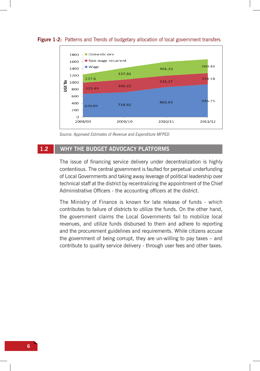

**Figure 1-2:** Patterns and Trends of budgetary allocation of local government transfers

*Source: Approved Estimates of Revenue and Expenditure MFPED*

## **1.2 Why the budget advocacy platforms**

The issue of financing service delivery under decentralization is highly contentious. The central government is faulted for perpetual underfunding of Local Governments and taking away leverage of political leadership over technical staff at the district by recentralizing the appointment of the Chief Administrative Officers - the accounting officers at the district.

The Ministry of Finance is known for late release of funds - which contributes to failure of districts to utilize the funds. On the other hand, the government claims the Local Governments fail to mobilize local revenues, and utilize funds disbursed to them and adhere to reporting and the procurement guidelines and requirements. While citizens accuse the government of being corrupt, they are un-willing to pay taxes – and contribute to quality service delivery - through user fees and other taxes.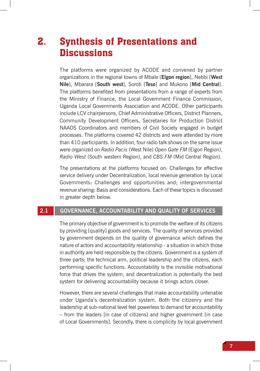# 2. Synthesis of Presentations and **Discussions**

The platforms were organized by ACODE and convened by partner organizations in the regional towns of Mbale [**Elgon region**], Nebbi [**West Nile**], Mbarara [**South west**], Soroti [**Teso**] and Mukono [**Mid Central**]. The platforms benefited from presentations from a range of experts from the Ministry of Finance, the Local Government Finance Commission, Uganda Local Governments Association and ACODE. Other participants include LCV chairpersons, Chief Administrative Officers, District Planners, Community Development Officers, Secretaries for Production District NAADS Coordinators and members of Civil Society engaged in budget processes. The platforms covered 42 districts and were attended by more than 410 participants. In addition, four radio talk shows on the same issue were organized on *Radio Pacis* (West Nile) *Open Gate FM* (Elgon Region), *Radio West* (South western Region), and *CBS FM* (Mid Central Region).

The presentations at the platforms focused on: Challenges for effective service delivery under Decentralization, local revenue generation by Local Governments: Challenges and opportunities and; intergovernmental revenue sharing: Basis and considerations. Each of these topics is discussed in greater depth below.

# **2.1 Governance, accountability and quality of services**

The primary objective of government is to promote the welfare of its citizens by providing [quality] goods and services. The quality of services provided by government depends on the quality of governance which defines the nature of actors and accountability relationship - a situation in which those in authority are held responsible by the citizens. Government is a system of three parts; the technical arm, political leadership and the citizens, each performing specific functions. Accountability is the invisible motivational force that drives the system, and decentralization is potentially the best system for delivering accountability because it brings actors closer.

However, there are several challenges that make accountability untenable under Uganda's decentralization system. Both the citizenry and the leadership at sub-national level feel powerless to demand for accountability – from the leaders [in case of citizens] and higher government [in case of Local Governments]. Secondly, there is complicity by local government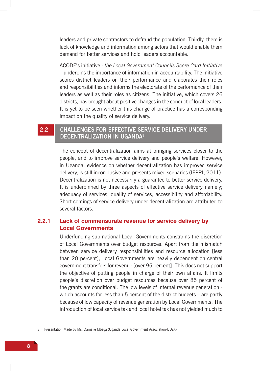leaders and private contractors to defraud the population. Thirdly, there is lack of knowledge and information among actors that would enable them demand for better services and hold leaders accountable.

ACODE's initiative - *the Local Government Councils Score Card Initiative* – underpins the importance of information in accountability. The initiative scores district leaders on their performance and elaborates their roles and responsibilities and informs the electorate of the performance of their leaders as well as their roles as citizens. The initiative, which covers 26 districts, has brought about positive changes in the conduct of local leaders. It is yet to be seen whether this change of practice has a corresponding impact on the quality of service delivery.

# **2.2 Challenges for effective service delivery under Decentralization in Uganda3**

The concept of decentralization aims at bringing services closer to the people, and to improve service delivery and people's welfare. However, in Uganda, evidence on whether decentralization has improved service delivery, is still inconclusive and presents mixed scenarios (IFPRI, 2011). Decentralization is not necessarily a guarantee to better service delivery. It is underpinned by three aspects of effective service delivery namely; adequacy of services, quality of services, accessibility and affordability. Short comings of service delivery under decentralization are attributed to several factors.

## **2.2.1 Lack of commensurate revenue for service delivery by Local Governments**

Underfunding sub-national Local Governments constrains the discretion of Local Governments over budget resources. Apart from the mismatch between service delivery responsibilities and resource allocation [less than 20 percent], Local Governments are heavily dependent on central government transfers for revenue [over 95 percent]. This does not support the objective of putting people in charge of their own affairs. It limits people's discretion over budget resources because over 85 percent of the grants are conditional. The low levels of internal revenue generation which accounts for less than 5 percent of the district budgets – are partly because of low capacity of revenue generation by Local Governments. The introduction of local service tax and local hotel tax has not yielded much to

<sup>3</sup> Presentation Made by Ms. Damalie Mbega (Uganda Local Government Association-ULGA)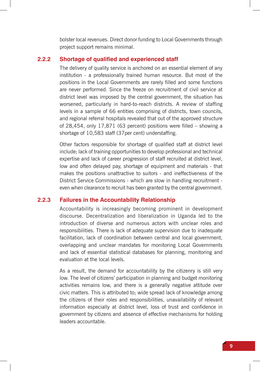bolster local revenues. Direct donor funding to Local Governments through project support remains minimal.

### **2.2.2 Shortage of qualified and experienced staff**

The delivery of quality service is anchored on an essential element of any institution - a professionally trained human resource. But most of the positions in the Local Governments are rarely filled and some functions are never performed. Since the freeze on recruitment of civil service at district level was imposed by the central government, the situation has worsened, particularly in hard-to-reach districts. A review of staffing levels in a sample of 66 entities comprising of districts, town councils, and regional referral hospitals revealed that out of the approved structure of 28,454, only 17,871 (63 percent) positions were filled – showing a shortage of 10,583 staff (37per cent) understaffing.

Other factors responsible for shortage of qualified staff at district level include; lack of training opportunities to develop professional and technical expertise and lack of career progression of staff recruited at district level, low and often delayed pay, shortage of equipment and materials - that makes the positions unattractive to suitors - and ineffectiveness of the District Service Commissions - which are slow in handling recruitment even when clearance to recruit has been granted by the central government.

### **2.2.3 Failures in the Accountability Relationship**

Accountability is increasingly becoming prominent in development discourse. Decentralization and liberalization in Uganda led to the introduction of diverse and numerous actors with unclear roles and responsibilities. There is lack of adequate supervision due to inadequate facilitation, lack of coordination between central and local government, overlapping and unclear mandates for monitoring Local Governments and lack of essential statistical databases for planning, monitoring and evaluation at the local levels.

As a result, the demand for accountability by the citizenry is still very low. The level of citizens' participation in planning and budget monitoring activities remains low, and there is a generally negative attitude over civic matters. This is attributed to; wide spread lack of knowledge among the citizens of their roles and responsibilities, unavailability of relevant information especially at district level, loss of trust and confidence in government by citizens and absence of effective mechanisms for holding leaders accountable.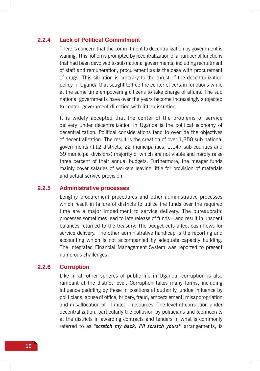#### **2.2.4 Lack of Political Commitment**

There is concern that the commitment to decentralization by government is waning. This notion is prompted by recentralization of a number of functions that had been devolved to sub national governments, including recruitment of staff and remuneration, procurement as is the case with procurement of drugs. This situation is contrary to the thrust of the decentralization policy in Uganda that sought to free the center of certain functions while at the same time empowering citizens to take charge of affairs. The sub national governments have over the years become increasingly subjected to central government direction with little discretion.

It is widely accepted that the center of the problems of service delivery under decentralization in Uganda is the political economy of decentralization. Political considerations tend to override the objectives of decentralization. The result is the creation of over 1,350 sub-national governments (112 districts, 22 municipalities, 1,147 sub-counties and 69 municipal divisions) majority of which are not viable and hardly raise three percent of their annual budgets. Furthermore, the meager funds mainly cover salaries of workers leaving little for provision of materials and actual service provision.

#### **2.2.5 Administrative processes**

Lengthy procurement procedures and other administrative processes which result in failure of districts to utilize the funds over the required time are a major impediment to service delivery. The bureaucratic processes sometimes lead to late release of funds – and result in unspent balances returned to the treasury. The budget cuts affect cash flows for service delivery. The other administrative handicap is the reporting and accounting which is not accompanied by adequate capacity building. The Integrated Financial Management System was reported to present numerous challenges.

### **2.2.6 Corruption**

Like in all other spheres of public life in Uganda, corruption is also rampant at the district level. Corruption takes many forms, including influence peddling by those in positions of authority, undue influence by politicians, abuse of office, bribery, fraud, embezzlement, misappropriation and misallocation of - limited - resources. The level of corruption under decentralization, particularly the collusion by politicians and technocrats at the districts in awarding contracts and tenders in what is commonly referred to as "*scratch my back, I'll scratch yours"* arrangements, is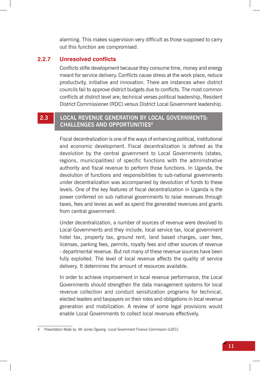alarming. This makes supervision very difficult as those supposed to carry out this function are compromised.

### **2.2.7 Unresolved conflicts**

Conflicts stifle development because they consume time, money and energy meant for service delivery. Conflicts cause stress at the work place, reduce productivity, initiative and innovation. There are instances when district councils fail to approve district budgets due to conflicts. The most common conflicts at district level are; technical verses political leadership, Resident District Commissioner (RDC) versus District Local Government leadership.

# **2.3 Local revenue generation by local governments: challenges and opportunities4**

Fiscal decentralization is one of the ways of enhancing political, institutional and economic development. Fiscal decentralization is defined as the devolution by the central government to Local Governments (states, regions, municipalities) of specific functions with the administrative authority and fiscal revenue to perform those functions. In Uganda, the devolution of functions and responsibilities to sub-national governments under decentralization was accompanied by devolution of funds to these levels. One of the key features of fiscal decentralization in Uganda is the power conferred on sub national governments to raise revenues through taxes, fees and levies as well as spend the generated revenues and grants from central government.

Under decentralization, a number of sources of revenue were devolved to Local Governments and they include, local service tax, local government hotel tax, property tax, ground rent, land based charges, user fees, licenses, parking fees, permits, royalty fees and other sources of revenue - departmental revenue. But not many of these revenue sources have been fully exploited. The level of local revenue affects the quality of service delivery. It determines the amount of resources available.

In order to achieve improvement in local revenue performance, the Local Governments should strengthen the data management systems for local revenue collection and conduct sensitization programs for technical, elected leaders and taxpayers on their roles and obligations in local revenue generation and mobilization. A review of some legal provisions would enable Local Governments to collect local revenues effectively.

Presentation Made by -Mr James Ogwang -Local Government Finance Commission (LGFC).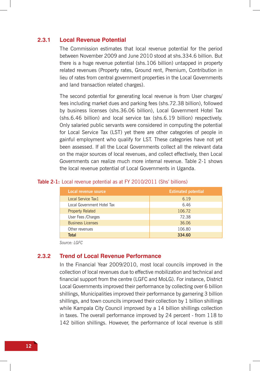#### **2.3.1 Local Revenue Potential**

The Commission estimates that local revenue potential for the period between November 2009 and June 2010 stood at shs.334.6 billion. But there is a huge revenue potential (shs.106 billion) untapped in property related revenues (Property rates, Ground rent, Premium, Contribution in lieu of rates from central government properties in the Local Governments and land transaction related charges).

The second potential for generating local revenue is from User charges/ fees including market dues and parking fees (shs.72.38 billion), followed by business licenses (shs.36.06 billion), Local Government Hotel Tax (shs.6.46 billion) and local service tax (shs.6.19 billion) respectively. Only salaried public servants were considered in computing the potential for Local Service Tax (LST) yet there are other categories of people in gainful employment who qualify for LST. These categories have not yet been assessed. If all the Local Governments collect all the relevant data on the major sources of local revenues, and collect effectively, then Local Governments can realize much more internal revenue. Table 2-1 shows the local revenue potential of Local Governments in Uganda.

| Local revenue source       | <b>Estimated potential</b> |
|----------------------------|----------------------------|
| Local Service Tax1         | 6.19                       |
| Local Government Hotel Tax | 6.46                       |
| <b>Property Related</b>    | 106.72                     |
| User Fees / Charges        | 72.38                      |
| <b>Business Licenses</b>   | 36.06                      |
| Other revenues             | 106.80                     |
| <b>Total</b>               | 334.60                     |

#### Table 2-1: Local revenue potential as at FY 2010/2011 (Shs' billions)

*Source: LGFC*

### **2.3.2 Trend of Local Revenue Performance**

In the Financial Year 2009/2010, most local councils improved in the collection of local revenues due to effective mobilization and technical and financial support from the centre (LGFC and MoLG). For instance, District Local Governments improved their performance by collecting over 6 billion shillings, Municipalities improved their performance by garnering 3 billion shillings, and town councils improved their collection by 1 billion shillings while Kampala City Council improved by a 14 billion shillings collection in taxes. The overall performance improved by 24 percent - from 118 to 142 billion shillings. However, the performance of local revenue is still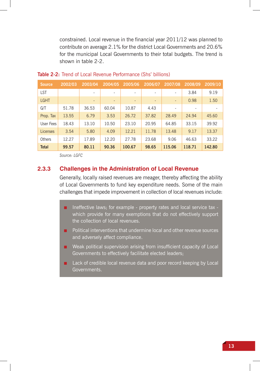constrained. Local revenue in the financial year 2011/12 was planned to contribute on average 2.1% for the district Local Governments and 20.6% for the municipal Local Governments to their total budgets. The trend is shown in table 2-2.

| <b>Source</b> | 2002/03 | 2003/04                  | 2004/05                      | 2005/06                      | 2006/07                  | 2007/08                  | 2008/09 | 2009/10 |
|---------------|---------|--------------------------|------------------------------|------------------------------|--------------------------|--------------------------|---------|---------|
| LST           |         | $\overline{\phantom{a}}$ | $\overline{\phantom{a}}$     | -                            | $\overline{\phantom{a}}$ | -                        | 3.84    | 9.19    |
| <b>LGHT</b>   |         | $\overline{\phantom{a}}$ | $\qquad \qquad \blacksquare$ | $\qquad \qquad \blacksquare$ | $\overline{\phantom{a}}$ | ٠                        | 0.98    | 1.50    |
| G/T           | 51.78   | 36.53                    | 60.04                        | 10.87                        | 4.43                     | $\overline{\phantom{a}}$ |         |         |
| Prop. Tax     | 13.55   | 6.79                     | 3.53                         | 26.72                        | 37.82                    | 28.49                    | 24.94   | 45.60   |
| User Fees     | 18.43   | 13.10                    | 10.50                        | 23.10                        | 20.95                    | 64.85                    | 33.15   | 39.92   |
| Licenses      | 3.54    | 5.80                     | 4.09                         | 12.21                        | 11.78                    | 13.48                    | 9.17    | 13.37   |
| Others        | 12.27   | 17.89                    | 12.20                        | 27.78                        | 23.68                    | 9.06                     | 46.63   | 33.22   |
| <b>Total</b>  | 99.57   | 80.11                    | 90.36                        | 100.67                       | 98.65                    | 115.06                   | 118.71  | 142.80  |

#### **Table 2-2:** Trend of Local Revenue Performance (Shs' billions)

*Source: LGFC*

## **2.3.3 Challenges in the Administration of Local Revenue**

Generally, locally raised revenues are meager, thereby affecting the ability of Local Governments to fund key expenditure needs. Some of the main challenges that impede improvement in collection of local revenues include:

- Ineffective laws; for example property rates and local service tax which provide for many exemptions that do not effectively support the collection of local revenues.
- Political interventions that undermine local and other revenue sources and adversely affect compliance.
- Weak political supervision arising from insufficient capacity of Local Governments to effectively facilitate elected leaders;
- Lack of credible local revenue data and poor record keeping by Local Governments.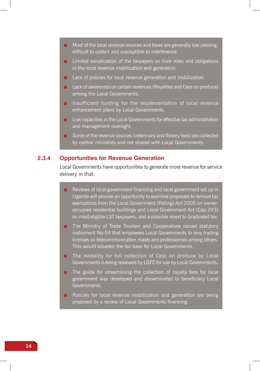- Most of the local revenue sources and taxes are generally low vielding, difficult to collect and susceptible to interference
- Limited sensitization of the taxpayers on their roles and obligations in the local revenue mobilization and generation.
- Lack of policies for local revenue generation and mobilization.
- Lack of awareness on certain revenues (Royalties and Cess on produce) among the Local Governments.
- Insufficient funding for the implementation of local revenue enhancement plans by Local Governments.
- Low capacities in the Local Governments for effective tax administration and management oversight.
- Some of the revenue sources (veterinary and fishery fees) are collected by central ministries and not shared with Local Governments.

### **2.3.4 Opportunities for Revenue Generation**

Local Governments have opportunities to generate more revenue for service delivery in that:

- Reviews of local government financing and local government set up in Uganda will provide an opportunity to examine proposals to remove tax exemptions from the Local Government (Rating) Act 2005 on owneroccupied residential buildings and Local Government Act (Cap 243) on most eligible LST taxpayers, and a possible revert to Graduated tax.
- The Ministry of Trade Tourism and Cooperatives issued statutory instrument No.54 that empowers Local Governments to levy trading licenses on telecommunication masts and professionals among others. This would broaden the tax base for Local Governments.
- The modality for full collection of Cess on produce by Local Governments is being reviewed by LGFC for use by Local Governments.
- The guide for streamlining the collection of royalty fees for local government was developed and disseminated to beneficiary Local Governments.
- Policies for local revenue mobilization and generation are being proposed by a review of Local Governments financing.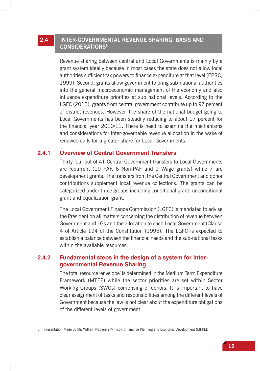# **2.4 Inter-governmental Revenue Sharing: Basis and Considerations5**

Revenue sharing between central and Local Governments is mainly by a grant system ideally because in most cases the state does not allow local authorities sufficient tax powers to finance expenditure at that level (EPRC, 1999). Second, grants allow government to bring sub-national authorities into the general macroeconomic management of the economy and also influence expenditure priorities at sub national levels. According to the LGFC (2010), grants from central government contribute up to 97 percent of district revenues. However, the share of the national budget going to Local Governments has been steadily reducing to about 17 percent for the financial year 2010/11. There is need to examine the mechanisms and considerations for inter-governable revenue allocation in the wake of renewed calls for a greater share for Local Governments.

### **2.4.1 Overview of Central Government Transfers**

Thirty four out of 41 Central Government transfers to Local Governments are recurrent (19 PAF, 6 Non-PAF and 9 Wage grants) while 7 are development grants. The transfers from the Central Government and donor contributions supplement local revenue collections. The grants can be categorized under three groups including conditional grant, unconditional grant and equalization grant.

The Local Government Finance Commission (LGFC) is mandated to advise the President on all matters concerning the distribution of revenue between Government and LGs and the allocation to each Local Government (Clause 4 of Article 194 of the Constitution (1995). The LGFC is expected to establish a balance between the financial needs and the sub-national tasks within the available resources.

## **2.4.2 Fundamental steps in the design of a system for Intergovernmental Revenue Sharing**

The total resource 'envelope' is determined in the Medium Term Expenditure Framework (MTEF) while the sector priorities are set within Sector Working Groups (SWGs) comprising of donors. It is important to have clear assignment of tasks and responsibilities among the different levels of Government because the law is not clear about the expenditure obligations of the different levels of government.

<sup>5</sup> Presentation Made by Mr. William Ndoleriire-Ministry of Finance Planning and Economic Development (MFPED)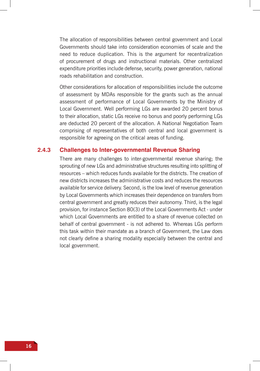The allocation of responsibilities between central government and Local Governments should take into consideration economies of scale and the need to reduce duplication. This is the argument for recentralization of procurement of drugs and instructional materials. Other centralized expenditure priorities include defense, security, power generation, national roads rehabilitation and construction.

Other considerations for allocation of responsibilities include the outcome of assessment by MDAs responsible for the grants such as the annual assessment of performance of Local Governments by the Ministry of Local Government. Well performing LGs are awarded 20 percent bonus to their allocation, static LGs receive no bonus and poorly performing LGs are deducted 20 percent of the allocation. A National Negotiation Team comprising of representatives of both central and local government is responsible for agreeing on the critical areas of funding.

### **2.4.3 Challenges to Inter-governmental Revenue Sharing**

There are many challenges to inter-governmental revenue sharing; the sprouting of new LGs and administrative structures resulting into splitting of resources – which reduces funds available for the districts. The creation of new districts increases the administrative costs and reduces the resources available for service delivery. Second, is the low level of revenue generation by Local Governments which increases their dependence on transfers from central government and greatly reduces their autonomy. Third, is the legal provision, for instance Section 80(3) of the Local Governments Act - under which Local Governments are entitled to a share of revenue collected on behalf of central government - is not adhered to. Whereas LGs perform this task within their mandate as a branch of Government, the Law does not clearly define a sharing modality especially between the central and local government.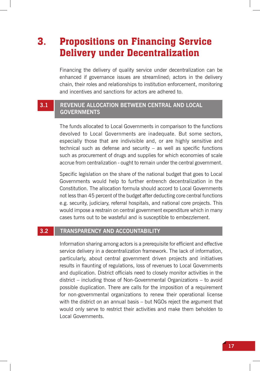# 3. Propositions on Financing Service Delivery under Decentralization

Financing the delivery of quality service under decentralization can be enhanced if governance issues are streamlined; actors in the delivery chain, their roles and relationships to institution enforcement, monitoring and incentives and sanctions for actors are adhered to.

# **3.1 Revenue allocation between Central and Local Governments**

The funds allocated to Local Governments in comparison to the functions devolved to Local Governments are inadequate. But some sectors, especially those that are indivisible and, or are highly sensitive and technical such as defense and security – as well as specific functions such as procurement of drugs and supplies for which economies of scale accrue from centralization - ought to remain under the central government.

Specific legislation on the share of the national budget that goes to Local Governments would help to further entrench decentralization in the Constitution. The allocation formula should accord to Local Governments not less than 45 percent of the budget after deducting core central functions e.g. security, judiciary, referral hospitals, and national core projects. This would impose a restrain on central government expenditure which in many cases turns out to be wasteful and is susceptible to embezzlement.

## **3.2 Transparency and Accountability**

Information sharing among actors is a prerequisite for efficient and effective service delivery in a decentralization framework. The lack of information, particularly, about central government driven projects and initiatives results in flaunting of regulations, loss of revenues to Local Governments and duplication. District officials need to closely monitor activities in the district – including those of Non-Governmental Organizations – to avoid possible duplication. There are calls for the imposition of a requirement for non-governmental organizations to renew their operational license with the district on an annual basis – but NGOs reject the argument that would only serve to restrict their activities and make them beholden to Local Governments.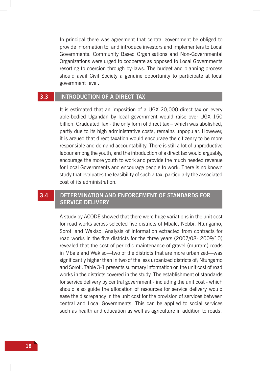In principal there was agreement that central government be obliged to provide information to, and introduce investors and implementers to Local Governments. Community Based Organisations and Non-Governmental Organizations were urged to cooperate as opposed to Local Governments resorting to coercion through by-laws. The budget and planning process should avail Civil Society a genuine opportunity to participate at local government level.

## **3.3 Introduction of a direct tax**

It is estimated that an imposition of a UGX 20,000 direct tax on every able-bodied Ugandan by local government would raise over UGX 150 billion. Graduated Tax - the only form of direct tax – which was abolished, partly due to its high administrative costs, remains unpopular. However, it is argued that direct taxation would encourage the citizenry to be more responsible and demand accountability. There is still a lot of unproductive labour among the youth, and the introduction of a direct tax would arguably, encourage the more youth to work and provide the much needed revenue for Local Governments and encourage people to work. There is no known study that evaluates the feasibility of such a tax, particularly the associated cost of its administration.

# **3.4 Determination and enforcement of standards for service delivery**

A study by ACODE showed that there were huge variations in the unit cost for road works across selected five districts of Mbale, Nebbi, Ntungamo, Soroti and Wakiso. Analysis of information extracted from contracts for road works in the five districts for the three years (2007/08- 2009/10) revealed that the cost of periodic maintenance of gravel (murram) roads in Mbale and Wakiso—two of the districts that are more urbanized—was significantly higher than in two of the less urbanized districts of; Ntungamo and Soroti. Table 3-1 presents summary information on the unit cost of road works in the districts covered in the study. The establishment of standards for service delivery by central government - including the unit cost - which should also guide the allocation of resources for service delivery would ease the discrepancy in the unit cost for the provision of services between central and Local Governments. This can be applied to social services such as health and education as well as agriculture in addition to roads.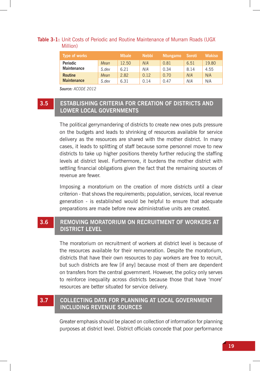### **Table 3-1:** Unit Costs of Periodic and Routine Maintenance of Murram Roads (UGX Million)

| Type of works      |       | <b>Mbale</b> | <b>Nebbi</b> | <b>Ntungamo</b> | <b>Soroti</b> | <b>Wakiso</b> |
|--------------------|-------|--------------|--------------|-----------------|---------------|---------------|
| <b>Periodic</b>    | Mean  | 12.50        | N/A          | 0.81            | 6.51          | 19.80         |
| <b>Maintenance</b> | S.dev | 6.21         | N/A          | 0.34            | 8.14          | 4.55          |
| <b>Routine</b>     | Mean  | 2.82         | 0.12         | 0.70            | N/A           | N/A           |
| <b>Maintenance</b> | S.dev | 6.31         | 0.14         | 0.47            | N/A           | N/A           |

*Source: ACODE 2012*

# **3.5 Establishing criteria for creation of Districts and lower local governments**

The political gerrymandering of districts to create new ones puts pressure on the budgets and leads to shrinking of resources available for service delivery as the resources are shared with the mother district. In many cases, it leads to splitting of staff because some personnel move to new districts to take up higher positions thereby further reducing the staffing levels at district level. Furthermore, it burdens the mother district with settling financial obligations given the fact that the remaining sources of revenue are fewer.

Imposing a moratorium on the creation of more districts until a clear criterion - that shows the requirements; population, services, local revenue generation - is established would be helpful to ensure that adequate preparations are made before new administrative units are created.

# **3.6 Removing Moratorium on recruitment of workers at district level**

The moratorium on recruitment of workers at district level is because of the resources available for their remuneration. Despite the moratorium, districts that have their own resources to pay workers are free to recruit, but such districts are few [if any] because most of them are dependent on transfers from the central government. However, the policy only serves to reinforce inequality across districts because those that have 'more' resources are better situated for service delivery.

# **3.7 Collecting data for planning at local government including revenue sources**

Greater emphasis should be placed on collection of information for planning purposes at district level. District officials concede that poor performance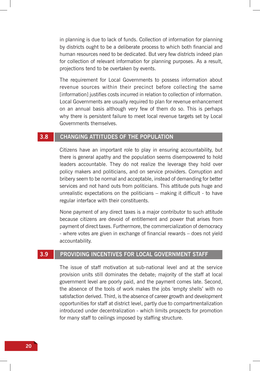in planning is due to lack of funds. Collection of information for planning by districts ought to be a deliberate process to which both financial and human resources need to be dedicated. But very few districts indeed plan for collection of relevant information for planning purposes. As a result, projections tend to be overtaken by events.

The requirement for Local Governments to possess information about revenue sources within their precinct before collecting the same [information] justifies costs incurred in relation to collection of information. Local Governments are usually required to plan for revenue enhancement on an annual basis although very few of them do so. This is perhaps why there is persistent failure to meet local revenue targets set by Local Governments themselves.

### **3.8 Changing attitudes of the population**

Citizens have an important role to play in ensuring accountability, but there is general apathy and the population seems disempowered to hold leaders accountable. They do not realize the leverage they hold over policy makers and politicians, and on service providers. Corruption and bribery seem to be normal and acceptable, instead of demanding for better services and not hand outs from politicians. This attitude puts huge and unrealistic expectations on the politicians – making it difficult - to have regular interface with their constituents.

None payment of any direct taxes is a major contributor to such attitude because citizens are devoid of entitlement and power that arises from payment of direct taxes. Furthermore, the commercialization of democracy - where votes are given in exchange of financial rewards – does not yield accountability.

## **3.9 Providing incentives for local government staff**

The issue of staff motivation at sub-national level and at the service provision units still dominates the debate; majority of the staff at local government level are poorly paid, and the payment comes late. Second, the absence of the tools of work makes the jobs 'empty shells' with no satisfaction derived. Third, is the absence of career growth and development opportunities for staff at district level, partly due to compartmentalization introduced under decentralization - which limits prospects for promotion for many staff to ceilings imposed by staffing structure.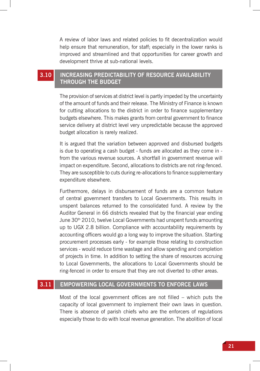A review of labor laws and related policies to fit decentralization would help ensure that remuneration, for staff; especially in the lower ranks is improved and streamlined and that opportunities for career growth and development thrive at sub-national levels.

# **3.10 Increasing predictability of resource availability through the budget**

The provision of services at district level is partly impeded by the uncertainty of the amount of funds and their release. The Ministry of Finance is known for cutting allocations to the district in order to finance supplementary budgets elsewhere. This makes grants from central government to finance service delivery at district level very unpredictable because the approved budget allocation is rarely realized.

It is argued that the variation between approved and disbursed budgets is due to operating a cash budget - funds are allocated as they come in from the various revenue sources. A shortfall in government revenue will impact on expenditure. Second, allocations to districts are not ring-fenced. They are susceptible to cuts during re-allocations to finance supplementary expenditure elsewhere.

Furthermore, delays in disbursement of funds are a common feature of central government transfers to Local Governments. This results in unspent balances returned to the consolidated fund. A review by the Auditor General in 66 districts revealed that by the financial year ending June 30<sup>th</sup> 2010, twelve Local Governments had unspent funds amounting up to UGX 2.8 billion. Compliance with accountability requirements by accounting officers would go a long way to improve the situation. Starting procurement processes early - for example those relating to construction services - would reduce time wastage and allow spending and completion of projects in time. In addition to setting the share of resources accruing to Local Governments, the allocations to Local Governments should be ring-fenced in order to ensure that they are not diverted to other areas.

# **3.11 Empowering local governments to enforce laws**

Most of the local government offices are not filled – which puts the capacity of local government to implement their own laws in question. There is absence of parish chiefs who are the enforcers of regulations especially those to do with local revenue generation. The abolition of local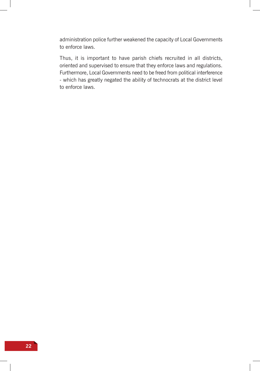administration police further weakened the capacity of Local Governments to enforce laws.

Thus, it is important to have parish chiefs recruited in all districts, oriented and supervised to ensure that they enforce laws and regulations. Furthermore, Local Governments need to be freed from political interference - which has greatly negated the ability of technocrats at the district level to enforce laws.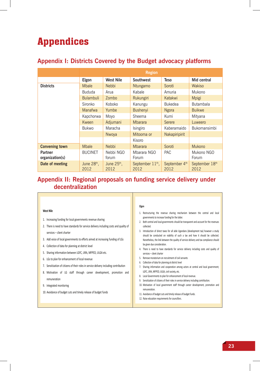# Appendices

# **Appendix I: Districts Covered by the Budget advocacy platforms**

|                                   | <b>Region</b>                   |                       |                                      |                                   |                        |  |
|-----------------------------------|---------------------------------|-----------------------|--------------------------------------|-----------------------------------|------------------------|--|
|                                   | Elgon                           | <b>West Nile</b>      | <b>Southwest</b>                     | <b>Teso</b>                       | Mid central            |  |
| <b>Districts</b>                  | <b>Mbale</b>                    | <b>Nebbi</b>          | <b>N</b> tungamo                     | Soroti                            | Wakiso                 |  |
|                                   | <b>Bududa</b>                   | Arua                  | Kabale                               | Amuria                            | Mukono                 |  |
|                                   | <b>Bulambuli</b>                | Zombo                 | Rukungiri                            | Katakwi                           | <b>Mpigi</b>           |  |
|                                   | Sironko                         | Koboko                | Kanungu                              | <b>Bukedea</b>                    | <b>Butambala</b>       |  |
|                                   | <b>Manafwa</b>                  | Yumbe                 | <b>Bushenyi</b>                      | <b>Ngora</b>                      | <b>Buikwe</b>          |  |
|                                   | Kapchorwa                       | Moyo                  | Sheema                               | Kumi                              | Mityana                |  |
|                                   | Kween                           | Adjumani              | <b>Mbarara</b>                       | Serere                            | Luweero                |  |
|                                   | <b>Bukwo</b>                    | Maracha               | Isingiro                             | Kaberamaido                       | Bukomansimbi           |  |
|                                   |                                 | Nwoya                 | Mitooma or                           | Nakapiripirit                     |                        |  |
|                                   |                                 |                       | Kisoro                               |                                   |                        |  |
| <b>Convening town</b>             | <b>Mbale</b>                    | <b>Nebbi</b>          | <b>Mbarara</b>                       | Soroti                            | <b>Mukono</b>          |  |
| <b>Partner</b><br>organization(s) | <b>BUCINET</b>                  | Nebbi NGO<br>forum    | Mbarara NGO<br>Forum                 | <b>PAC</b>                        | Mukono NGO<br>Forum    |  |
| Date of meeting                   | June 28 <sup>th</sup> ,<br>2012 | June $25th$ .<br>2012 | September 11 <sup>th</sup> ,<br>2012 | September 4 <sup>th</sup><br>2012 | September 18th<br>2012 |  |

# **Appendix II: Regional proposals on funding service delivery under decentralization**

#### **West Nile**

- 1. Increasing funding for local governments revenue sharing
- 2. There is need to have standards for service delivery including costs and quality of services – client charter
- 3. Add voice of local governments to efforts aimed at increasing funding of LGs
- 4. Collection of data for planning at district level
- 5. Sharing information between LGFC, URA, MFPED, ULGA etc.
- 6. LGs to plan for enhancement of local revenue
- 7. Sensitization of citizens of their roles in service delivery including contribution
- 8. Motivation of LG staff through career development, promotion and remuneration
- 9. Integrated monitoring
- 10. Avoidance of budget cuts and timely release of budget funds

#### **Elgon**

- 1. Restructuring the revenue sharing mechanism between the central and local governments to increase funding for the latter.
- 2. Both central and local governments should be transparent and account for the revenues collected.
- 3. Introduction of direct taxes for all able Ugandans (development tax) however a study should be conducted on viability of such a tax and how it should be collected. Nonetheless, the link between the quality of service delivery and tax compliance should be given due consideration.
- 4. There is need to have standards for service delivery including costs and quality of services – client charter
- 5. Remove moratorium on recruitment of civil servants
- 6. Collection of data for planning at district level
- 7. Sharing information and cooperation among actors at central and local government; LGFC, URA, MFPED, ULGA, civil society, etc.
- 8. Local Governments to plan for enhancement of local revenue.
- 9. Sensitization of citizens of their roles in service delivery including contribution.
- 10. Motivation of local government staff through career development, promotion and remuneration.
- 11. Avoidance of budget cuts and timely release of budget funds.
- 12. Raise education requirements for councillors.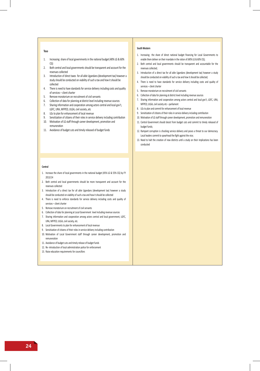#### **Teso**

- 1. Increasing share of local governments in the national budget (40% LG & 60% CG)
- 2. Both central and local governments should be transparent and account for the revenues collected
- 3. Introduction of direct taxes for all able Ugandans (development tax) however a study should be conducted on viability of such a tax and how it should be collected
- 4. There is need to have standards for service delivery including costs and quality of services – client charter
- 5. Remove moratorium on recruitment of civil servants
- 6. Collection of data for planning at district level including revenue sources
- 7. Sharing information and cooperation among actors central and local gov't, LGFC, URA, MFPED, ULGA, civil society ,etc
- 8. LGs to plan for enhancement of local revenue
- 9. Sensitization of citizens of their roles in service delivery including contribution
- 10. Motivation of LG staff through career development, promotion and remuneration
- 11. Avoidance of budget cuts and timely released of budget funds

#### **South Western**

- 1. Increasing the share of direct national budget financing for Local Governments to enable them deliver on their mandate in the ration of (40% LG & 60% CG);
- 2. Both central and local governments should be transparent and accountable for the revenues collected;
- 3. Introduction of a direct tax for all able Ugandans (development tax) however a study should be conducted on viability of such a tax and how it should be collected;
- 4. There is need to have standards for service delivery including costs and quality of services – client charter
- 5. Remove moratorium on recruitment of civil servants
- 6. Collection of data for planning at district level including revenue sources
- 7. Sharing information and cooperation among actors central and local gov't, LGFC, URA, MFPED, ULGA, civil society etc – parliament
- 8. LGs to plan and commit for enhancement of local revenue
- 9. Sensitization of citizens of their roles in service delivery including contribution
- 10. Motivation of LG staff through career development, promotion and remuneration
- 11. Central Government should desist from budget cuts and commit to timely released of budget funds;
- 12. Rampant corruption is chocking service delivery and poses a threat to our democracy. Local leaders commit to spearhead the fight against the vice;
- 13. Need to halt the creation of new districts until a study on their implications has been conducted

#### **Central**

- 1. Increase the share of local governments in the national budget (45% LG & 55% CG) by FY 2013/14
- 2. Both central and local governments should be more transparent and account for the revenues collected
- 3. Introduction of a direct tax for all able Ugandans (development tax) however a study should be conducted on viability of such a tax and how it should be collected
- 4. There is need to enforce standards for service delivery including costs and quality of services – client charter
- 5. Remove moratorium on recruitment of civil servants
- 6. Collection of data for planning at Local Government level including revenue sources
- 7. Sharing information and cooperation among actors central and local government, LGFC, URA, MFPED, ULGA, civil society, etc.
- 8. Local Governments to plan for enhancement of local revenue
- 9. Sensitization of citizens of their roles in service delivery including contribution
- 10. Motivation of Local Government staff through career development, promotion and remuneration
- 11. Avoidance of budget cuts and timely release of budget funds
- 12. Re- introduction of local administration police for enforcement
- 13. Raise education requirements for councillors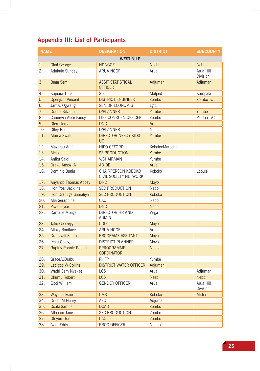# **Appendix III: List of Participants**

| <b>NAME</b> |                             | <b>DESIGNATION</b>                          | <b>DISTRICT</b>   | <b>SUBCOUNTY</b>      |  |  |  |  |  |
|-------------|-----------------------------|---------------------------------------------|-------------------|-----------------------|--|--|--|--|--|
|             | <b>WEST NILE</b>            |                                             |                   |                       |  |  |  |  |  |
| 1.          | Okot George                 | <b>NDNGOF</b>                               | Neebi             | <b>Nebbi</b>          |  |  |  |  |  |
| 2.          | Adukule Sunday              | <b>ARUA NGOF</b>                            | Arua              | Arua Hill<br>Division |  |  |  |  |  |
| 3.          | <b>Buga Semi</b>            | <b>ASSIT STATISTICAL</b><br><b>OFFICER</b>  | Adjumani          | Adjumani              |  |  |  |  |  |
| 4.          | Kajuara Titus               | <b>SIE</b>                                  | Mofped            | Kampala               |  |  |  |  |  |
| 5.          | Openjuru Vincent            | <b>DISTRICT ENGINEER</b>                    | 7 <sub>ombo</sub> | Zombo Tc              |  |  |  |  |  |
| 6.          | James Ogwang                | SENIOR ECONOMIST                            | Lgfc              |                       |  |  |  |  |  |
| 7.          | Drania Silvano              | <b>D/PLANNER</b>                            | Yumbe             | Yumbe                 |  |  |  |  |  |
| 8.          | Canniwia Alice Fancy        | LIFE CONRCEN OFFICER                        | Zombo             | Paidha T/C            |  |  |  |  |  |
| 9.          | Oleru Jema                  | <b>DNC</b>                                  | Arua              |                       |  |  |  |  |  |
| 10.         | Olley Ben                   | D/PLANNER                                   | Nebbi             |                       |  |  |  |  |  |
| 11.         | Aluma Swali                 | <b>DIRECTOR NEEDY KIDS</b><br>UG            | Yumbe             |                       |  |  |  |  |  |
| 12.         | Mazarau Anifa               | <b>HIPO CEFORD</b>                          | Koboko/Maracha    |                       |  |  |  |  |  |
| 13.         | Alejo Jane                  | SE PRODUCTION                               | Yumbe             |                       |  |  |  |  |  |
| 14.         | Aniku Saidi                 | <b>V/CHAIRMAN</b>                           | Yumbe             |                       |  |  |  |  |  |
| 15.         | Draku Ansozi A              | AD DE                                       | Arua              |                       |  |  |  |  |  |
| 16.         | Dominic Bunia               | CHAIRPERSON KOBOKO<br>CIVIL SOCIETY NETWORK | Koboko            | Lobule                |  |  |  |  |  |
| 17.         | Anyanzo Thomas Abbey        | <b>DNC</b>                                  | Moyo              |                       |  |  |  |  |  |
| 18.         | Hon Poar Jackline           | <b>SEC PRODUCTION</b>                       | Nebbi             |                       |  |  |  |  |  |
| 19.         | Hon Dramiga Samaliya        | <b>SEC PRODUCTION</b>                       | Koboko            |                       |  |  |  |  |  |
| 20.         | Alia Seraphine              | CAO                                         | Nebbi             |                       |  |  |  |  |  |
| 21.         | Piwa Joyce                  | <b>DNC</b>                                  | <b>Nebbi</b>      |                       |  |  |  |  |  |
| 22.         | Damalie Mbega               | DIRECTOR HR AND<br><b>ADMIN</b>             | Wlga              |                       |  |  |  |  |  |
| 23.         | Tako Geofreyy               | <b>CDO</b>                                  | Moyo              |                       |  |  |  |  |  |
| 24.         | Alioxy Boniface             | ARUA NGOF                                   | Arua              |                       |  |  |  |  |  |
| 25.         | Drangwili Santos            | PROGRAME ASSITANT                           | Moyo              |                       |  |  |  |  |  |
| 26.         | Ireku George                | <b>DISTRICT PLANNER</b>                     | Moyo              |                       |  |  |  |  |  |
| 27.         | <b>Rupiny Ronnie Robert</b> | PPROGRAMME<br><b>CORDINATOR</b>             | <b>Nebbi</b>      |                       |  |  |  |  |  |
| 28.         | Grace. V. Drabu             | <b>RHFP</b>                                 | Yumbe             |                       |  |  |  |  |  |
| 29.         | Latiigoo W Collins          | <b>DISTRICT WATER OFFICER</b>               | Adjumani          |                       |  |  |  |  |  |
| 30.         | Wadri Sam Nyakae            | LC5                                         | Arua              | Adjumani              |  |  |  |  |  |
| 31.         | Okumu Robert                | LC5                                         | Neebi             | Nebbi                 |  |  |  |  |  |
| 32.         | Ejoti William               | <b>GENDER OFFICER</b>                       | Arua              | Arua Hill<br>Division |  |  |  |  |  |
| 33.         | Wayi Jackson                | <b>CMS</b>                                  | Koboko            | Midia                 |  |  |  |  |  |
| 34.         | Drichi M Henry              | AEO                                         | Adjumani          |                       |  |  |  |  |  |
| 35.         | Ocaki Samuel                | <b>DCAO</b>                                 | Zombo             |                       |  |  |  |  |  |
| 36.         | Athocon Jane                | <b>SEC PRODUCTION</b>                       | Zombo             |                       |  |  |  |  |  |
| 37.         | Ofoyum Tom                  | CAO                                         | Zombo             |                       |  |  |  |  |  |
| 38.         | Nam Eddy                    | PROG OFFICER                                | Nnebbi            |                       |  |  |  |  |  |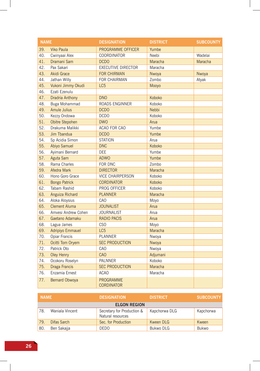| <b>NAME</b> |                       | <b>DESIGNATION</b>                    | <b>DISTRICT</b> | <b>SUBCOUNTY</b> |
|-------------|-----------------------|---------------------------------------|-----------------|------------------|
| 39.         | <b>Viko Paula</b>     | PROGRAMME OFFICER                     | Yumbe           |                  |
| 40.         | Cwinyaai Alex         | <b>COORDINATOR</b>                    | Neebi           | Wadelai          |
| 41.         | Dramani Sam           | <b>DCDO</b>                           | Maracha         | Maracha          |
| 42.         | Pax Sakari            | <b>EXECUTIVE DIRECTOR</b>             | Maracha         |                  |
| 43.         | <b>Akidi Grace</b>    | <b>FOR CHIRMAN</b>                    | Nwoya           | Nwoya            |
| 44.         | Jathan Willy          | <b>FOR CHAIRMAN</b>                   | Zombo           | Atyak            |
| 45.         | Vukoni Jimmy Okudi    | LC <sub>5</sub>                       | Mooyo           |                  |
| 46.         | Ezati Ezenulu         |                                       |                 |                  |
| 47.         | Dradria Anthony       | <b>DNO</b>                            | Koboko          |                  |
| 48.         | Buga Mohammad         | <b>ROADS ENGINNER</b>                 | Koboko          |                  |
| 49.         | <b>Amule Julius</b>   | <b>DCDO</b>                           | <b>Nebbi</b>    |                  |
| 50.         | Kezzy Ondowa          | <b>DCDO</b>                           | Koboko          |                  |
| 51.         | Obitre Stepohen       | <b>DWO</b>                            | Arua            |                  |
| 52.         | Drakuma Malikki       | ACAO FOR CAO                          | Yumbe           |                  |
| 53.         | Jim Tbandua           | <b>DCDO</b>                           | Yumbe           |                  |
| 54.         | Sp Acidia Simon       | <b>STATION</b>                        | Arua            |                  |
| 55.         | Abiyo Samuel          | <b>DNC</b>                            | Koboko          |                  |
| 56.         | Ayimani Bernard       | <b>DEE</b>                            | Yumbe           |                  |
| 57.         | Aguta Sam             | <b>ADWO</b>                           | Yumbe           |                  |
| 58.         | Rama Charles          | FOR DNC                               | Zombo           |                  |
| 59.         | Afedra Mark           | <b>DIRECTOR</b>                       | Maracha         |                  |
| 60.         | Hono Goro Grace       | <b>VICE CHAIRPERSON</b>               | Koboko          |                  |
| 61.         | <b>Bongo Patrick</b>  | <b>CORDINATOR</b>                     | Koboko          |                  |
| 62.         | Tabam Rashid          | PROG OFFICER                          | Koboko          |                  |
| 63.         | Anguiza Richard       | <b>PLANNER</b>                        | Maracha         |                  |
| 64.         | Aloka Aloysius        | <b>CAO</b>                            | Moyo            |                  |
| 65.         | <b>Clement Aluma</b>  | <b>JOUNALIST</b>                      | Arua            |                  |
| 66.         | Amvesi Andrew Cohen   | <b>JOURNALIST</b>                     | Arua            |                  |
| 67.         | Gaetano Adamaku       | <b>RADIO PACIS</b>                    | Arua            |                  |
| 68.         | Lagua James           | C <sub>SO</sub>                       | Moyo            |                  |
| 69.         | Adripiyo Emmauel      | LC <sub>5</sub>                       | Maracha         |                  |
| 70.         | Opiar Francis         | <b>PLANNER</b>                        | Nwoya           |                  |
| 71.         | Ocitti Tom Oryem      | <b>SEC PRODUCTION</b>                 | Nwoya           |                  |
| 72.         | Patrick Oto           | CA <sub>O</sub>                       | Nwoya           |                  |
| 73.         | Oley Henry            | <b>CAO</b>                            | Adjumani        |                  |
| 74.         | Ocokoru Roselyn       | <b>PALNNER</b>                        | Koboko          |                  |
| 75.         | <b>Draga Francis</b>  | <b>SEC PRODUCTION</b>                 | Maracha         |                  |
| 76.         | Enzamia Ernest        | <b>ACAO</b>                           | Maracha         |                  |
| 77.         | <b>Bernard Obwoya</b> | <b>PROGRAMME</b><br><b>CORDINATOR</b> |                 |                  |

| <b>NAME</b> |                     | <b>DESIGNATION</b>                              | <b>DISTRICT</b> | <b>SUBCOUNTY</b> |  |
|-------------|---------------------|-------------------------------------------------|-----------------|------------------|--|
|             | <b>ELGON REGION</b> |                                                 |                 |                  |  |
| 78          | Waniala Vincent     | Secretary for Production &<br>Natural resources | Kapchorwa DLG   | Kapchorwa        |  |
| 79.         | Difas Sarch         | Sec. for Production                             | Kween DLG       | Kween            |  |
| 80.         | Ben Sakajja         | <b>DEDO</b>                                     | Bukwo DLG       | Bukwo            |  |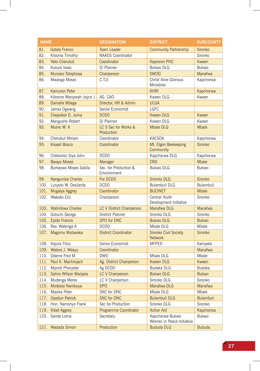| <b>NAME</b> |                          | <b>DESIGNATION</b>                   | <b>DISTRICT</b>                                   | <b>SUBCOUNTY</b> |
|-------------|--------------------------|--------------------------------------|---------------------------------------------------|------------------|
| 81.         | <b>Gidale Franco</b>     | <b>Team Leader</b>                   | <b>Community Partnership</b>                      | Sironko          |
| 82.         | Kiboma Timothy           | <b>NAADS</b> Coordinator             |                                                   | Sironko          |
| 83.         | Yeko Cherukut            | Coordinator                          | Kaproron PHC                                      | Kween            |
| 84.         | Kusuro Isaac             | D/ Planner                           | <b>Bukwo DLG</b>                                  | <b>Bukwo</b>     |
| 85.         | Muniaro Tolophosa        | Chairperson                          | <b>SWOD</b>                                       | Manafwa          |
| 86.         | Mwanga Moses             | C.T.O                                | <b>Christ Alive Glorious</b><br><b>Ministries</b> | Kapchorwa        |
| 87.         | Kamuron Peter            |                                      | <b>KHRI</b>                                       | Kapchorwa        |
| 88.         | Kiboone Wanyerah Joyce J | AG. CAO                              | Kween DLG                                         | Kween            |
| 89.         | Damalie Mbega            | Director, HR & Admin                 | <b>ULGA</b>                                       |                  |
| 90.         | James Ogwang             | Senior Economist                     | <b>LGFC</b>                                       |                  |
| 91.         | Chepsikor D. Juma        | <b>DCDO</b>                          | <b>Kween DLG</b>                                  | Kween            |
| 92.         | Mangusho Robert          | D/ Planner                           | Kween DLG                                         | Kween            |
| 93.         | Muliro W. K              | LC 5 Sec for Works &<br>Production   | <b>Mbale DLG</b>                                  | <b>Mbale</b>     |
| 94.         | Cherukut Miriam          | Coordinator                          | <b>KACSOA</b>                                     | Kapchorwa        |
| 95.         | Kisaali Bosco            | Coordinator                          | Mt. Elgon Beekeeping<br>Community                 | Sironko          |
| 96.         | Cheborion Siya John      | <b>DCDO</b>                          | Kapchorwa DLG                                     | Kapchorwa        |
| 97.         | <b>Bwayo Moses</b>       | Manager                              | <b>CRO</b>                                        | <b>Mbale</b>     |
| 98.         | Burkeywo Moses Sabila    | Sec. for Production &<br>Emvironment | <b>Bukwo DLG</b>                                  | <b>Bukwo</b>     |
| 99.         | Nangumba Charles         | For DCDO                             | Sironko DLG                                       | Sironko          |
| 100.        | Lunyolo W. Desilanta     | <b>DCDO</b>                          | Bulambuli DLG                                     | Bulambuli        |
| 101.        | Mugalya Aggrey           | Coordinator                          | <b>BUCINET</b>                                    | <b>Mbale</b>     |
| 102.        | Wakoko Eric              | Chairperson                          | Central Youth<br>Development Initiative           | Sironko          |
|             | 103. Walimbwa Charles    | LC V District Chairperson            | Manafwa DLG                                       | Manafwa          |
| 104.        | Giduchi George           | <b>District Planner</b>              | Sironko DLG                                       | Sironko          |
|             | 105. Epido Francis       | DPO for DNC                          | <b>Bukwo DLG</b>                                  | <b>Bukwo</b>     |
| 106.        | Rev. Watenga A           | <b>DCDO</b>                          | Mbale DLG                                         | Mbale            |
| 107.        | Magomu Mubaraka          | <b>District Coordinator</b>          | Sironko Civil Society<br>Network                  | Sironko          |
|             | 108. Kajura Titus        | Senior Economist                     | <b>MFPED</b>                                      | Kampala          |
|             | 109. Walera J. Wasyu     | Coordinator                          |                                                   | Manafwa          |
|             | 110. Ddeme Fred M        | <b>DWO</b>                           | Mbale DLG                                         | Mbale            |
| 111.        | Paul K. Machinjach       | Ag. District Chairperson             | <b>Kween DLG</b>                                  | Kween            |
| 112.        | Mpindi Pheryster         | Ag DCDO                              | Budaka DLG                                        | Budaka           |
| 113.        | Salino Wilson Manjara    | LC V Chairperson                     | <b>Bukwo DLG</b>                                  | <b>Bukwo</b>     |
| 114.        | Mudenga Meres            | LC V Chairperson                     | Sironko DLG                                       | Sironko          |
| 115.        | Modesta Nambuya          | DP <sub>O</sub>                      | Manafwa DLG                                       | <b>Manafwa</b>   |
| 116.        | Masika Peter             | SNC for DNC                          | Mbale DLG                                         | Mbale            |
| 117.        | <b>Opedun Patrick</b>    | <b>SNC for DNC</b>                   | <b>Bulambuli DLG</b>                              | <b>Bulambuli</b> |
| 118.        | Hon. Namonyo Frank       | Sec for Production                   | Sironko DLG                                       | Sironko          |
| 119.        | <b>Kibet Aggrey</b>      | <b>Programme Coordinator</b>         | <b>Action Aid</b>                                 | Kapchorwa        |
| 120.        | Sande Lorna              | Secretary                            | Kapchorwa Bukwo<br>Women in Peace Initiative      | Bukwo            |
| 121.        | Wadada Simon             | Production                           | <b>Bududa DLG</b>                                 | <b>Bududa</b>    |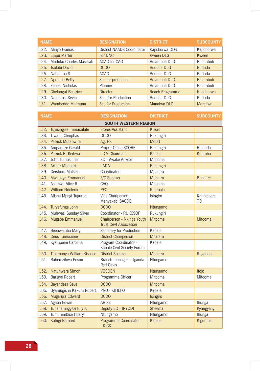| <b>NAME</b> |                           | <b>DESIGNATION</b>         | <b>DISTRICT</b>      | <b>SUBCOUNTY</b> |
|-------------|---------------------------|----------------------------|----------------------|------------------|
| 122.        | Alinyo Francis            | District NAADS Coordinator | Kapchorwa DLG        | Kapchorwa        |
| 123.        | Ejupu Martin              | For DNC                    | Kween DLG            | Kween            |
| 124.        | Muduku Charles Masssah    | ACAO for CAO               | Bulambuli DLG        | <b>Bulambuli</b> |
|             | 125. Tsolobi David        | DCD <sub>O</sub>           | <b>Bududa DLG</b>    | <b>Bududa</b>    |
| 126.        | Nabamba S                 | <b>ACAO</b>                | <b>Bududa DLG</b>    | <b>Bududa</b>    |
| 127.        | <b>Ngumbe Betty</b>       | Sec for production         | <b>Bulambuli DLG</b> | <b>Bulambuli</b> |
|             | 128. Zebosi Nicholas      | Planner                    | Bulambuli DLG        | <b>Bulambuli</b> |
| 129.        | <b>Chelangat Beatrice</b> | <b>Director</b>            | Reach Programme      | Kapchorwa        |
|             | 130. Namutosi Kevin       | Sec. for Production        | <b>Bududa DLG</b>    | <b>Bududa</b>    |
|             | 131. Wambedde Maimuna     | Sec for Production         | Manafwa DLG          | Manafwa          |

| <b>NAME</b> |                                | <b>DESIGNATION</b>                                          | <b>DISTRICT</b> | <b>SUBCOUNTY</b>  |  |  |
|-------------|--------------------------------|-------------------------------------------------------------|-----------------|-------------------|--|--|
|             | <b>SOUTH WESTERN REGION</b>    |                                                             |                 |                   |  |  |
| 132.        | Tuyisingize Immaculate         | <b>Stores Assistant</b>                                     | Kisoro          |                   |  |  |
| 133.        | Tiwaitu Cleophas               | <b>DCDO</b>                                                 | Rukungiri       |                   |  |  |
| 134.        | <b>Patrick Mutabwire</b>       | Ag. PS                                                      | MoLG            |                   |  |  |
|             | 135. Ampamize Gerald           | Project Office SCORE                                        | Rukungiri       | Ruhinda           |  |  |
| 136.        | Patrick B. Keihwa              | <b>LC V Chairman</b>                                        | Kabale          | Kitumba           |  |  |
| 137.        | John Tumusiime                 | ED - Awake Ankole                                           | Mitooma         |                   |  |  |
| 138.        | Arthur Mbabazi                 | <b>LADA</b>                                                 | Rukungiri       |                   |  |  |
| 139.        | Gershom Matsiko                | Coordinator                                                 | Mbarara         |                   |  |  |
| 140.        | Mwijukye Emmanuel              | S/C Speaker                                                 | <b>Mbarara</b>  | <b>Bubaare</b>    |  |  |
| 141.        | Asiimwe Alice R                | CAO                                                         | Mitooma         |                   |  |  |
|             | 142. William Ndoleriire        | <b>PFO</b>                                                  | Kampala         |                   |  |  |
| 143.        | Afisha Mpagi Tugume            | Vice Chariperson -<br>Manyakabi SACCO                       | Isingiro        | Kaberebere<br>T.C |  |  |
|             | 144. Turyafunga John           | <b>DCDO</b>                                                 | Ntungamo        |                   |  |  |
| 145.        | Muhwezi Sunday Silver          | Coordinator - RUKCSOF                                       | Rukungiri       |                   |  |  |
| 146.        | Mugabe Emmanuel                | Chairperson - Nkinga Youth<br><b>Trust Devt Association</b> | Mitooma         | Mitooma           |  |  |
| 147.        | Beebwajuba Mary                | Secretary for Production                                    | Kabale          |                   |  |  |
| 148.        | Deus Tumusiime                 | <b>District Chairperson</b>                                 | <b>Mbarara</b>  |                   |  |  |
| 149.        | Kyampeire Caroline             | Program Coordinator -<br>Kabale Civil Society Forum         | Kabale          |                   |  |  |
|             | 150. Tibamanya William Kisooso | <b>District Speaker</b>                                     | <b>Mbarara</b>  | Rugando           |  |  |
| 151.        | Baherezibwa Edson              | Branch manager - Uganda<br><b>Red Cross</b>                 | Ntungamo        |                   |  |  |
| 152.        | Natuhwera Simon                | <b>VOSDEN</b>                                               | Ntungamo        | Itojo             |  |  |
| 153.        | Barigye Robert                 | Programme Officer                                           | Mitooma         | Mitooma           |  |  |
| 154.        | Beyendeza Save                 | <b>DCDO</b>                                                 | Mitooma         |                   |  |  |
| 155.        | Byamugisha Kakuru Robert       | PRO - KIHEFO                                                | Kabale          |                   |  |  |
| 156.        | Mugarura Edward                | <b>DCDO</b>                                                 | Isingiro        |                   |  |  |
| 157.        | Agaba Edwin                    | <b>ARISE</b>                                                | Ntungamo        | Ihunga            |  |  |
|             | 158. Tuhanamagyezi Elly K      | Deputy ED - IRYODI                                          | Sheema          | Kyangyenyi        |  |  |
| 159.        | Tumuhimbise Hilary             | Ntungamo                                                    | Ntungamo        | Ihunga            |  |  |
| 160.        | Kahigi Bernard                 | Programme Coordinator<br>- KICK                             | Kabale          | Kigumba           |  |  |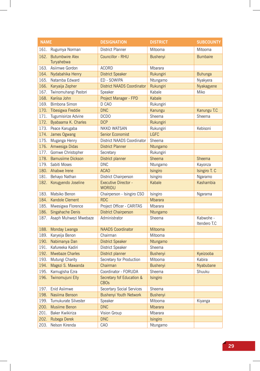| <b>NAME</b> |                                      | <b>DESIGNATION</b>                           | <b>DISTRICT</b> | <b>SUBCOUNTY</b>          |
|-------------|--------------------------------------|----------------------------------------------|-----------------|---------------------------|
| 161.        | Rugumya Norman                       | <b>District Planner</b>                      | Mitooma         | Mitooma                   |
| 162.        | <b>Butumbwire Alex</b><br>Turyahebwa | Councillor - RHU                             | <b>Bushenyi</b> | <b>Bumbaire</b>           |
| 163.        | Asiimwe Gordon                       | <b>ACORD</b>                                 | Mbarara         |                           |
| 164.        | Nydabahika Henry                     | <b>District Speaker</b>                      | Rukungiri       | <b>Buhunga</b>            |
| 165.        | Natamba Edward                       | ED - SOWIPA                                  | Ntungamo        | Nyakyera                  |
| 166.        | Karyaija Zepher                      | <b>District NAADS Coordinator</b>            | Rukungiri       | Nyakagyene                |
| 167.        | Twinomuhangi Pastori                 | Speaker                                      | Kabale          | Miko                      |
| 168.        | Kariisa John                         | Project Manager - FPD                        | Kabale          |                           |
| 169.        | Bimbona Simon                        | D CAO                                        | Rukungiri       |                           |
|             | 170. Tibesigwa Freddie               | <b>DNC</b>                                   | Kanungu         | Kanungu T.C               |
|             | 171. Tugumisirize Advine             | <b>DCDO</b>                                  | Sheema          | Sheema                    |
| 172.        | Byabaama K. Charles                  | <b>DCP</b>                                   | Rukungiri       |                           |
| 173.        | Peace Karugaba                       | NKKD WATSAN                                  | Rukungiri       | Kebisoni                  |
| 174.        | James Ogwang                         | Senior Economist                             | <b>LGFC</b>     |                           |
| 175.        | Muganga Henry                        | District NAADS Coordinator                   | Sheema          |                           |
| 176.        | Amwesiga Didas                       | <b>District Planner</b>                      | Ntungamo        |                           |
| 177.        | Gomwe Christopher                    | Secretary                                    | Rukungiri       |                           |
| 178.        | <b>Bamusiime Dickson</b>             | District planner                             | Sheema          | <b>Sheema</b>             |
| 179.        | Sabiti Moses                         | <b>DNC</b>                                   | Ntungamo        | Kayonza                   |
|             | 180. Ahabwe Irene                    | <b>ACAO</b>                                  | Isingiro        | Isingiro T. C             |
| 181.        | Behayo Nathan                        | District Chairperson                         | Isingiro        | Ngaramo                   |
| 182.        | Korugyendo Joseline                  | <b>Executive Director -</b><br><b>WORIDU</b> | Kabale          | <b>Kashambia</b>          |
| 183.        | Matsiko Benon                        | Chairperson - Isingiro CSO                   | Isingiro        | Ngarama                   |
| 184.        | Kandole Clement                      | <b>RDC</b>                                   | <b>Mbarara</b>  |                           |
| 185.        | Mwesigwa Florence                    | Project Officer - CARITAS                    | Mbarara         |                           |
| 186.        | Singahache Denis                     | <b>District Chairperson</b>                  | Ntungamo        |                           |
| 187.        | Asaph Muhwezi Mwebaze                | Administrator                                | Sheema          | Kabwohe -<br>Itendero T.C |
| 188.        | Monday Lwanga                        | <b>NAADS Coordinator</b>                     | <b>Mitooma</b>  |                           |
| 189.        | Karyeija Benon                       | Chairman                                     | Mitooma         |                           |
| 190.        | Nabimanya Dan                        | <b>District Speaker</b>                      | Ntungamo        |                           |
| 191.        | Kafureeka Kadiri                     | District Speaker                             | Sheema          |                           |
| 192.        | <b>Mwebaze Charles</b>               | District planner                             | <b>Bushenvi</b> | Kyeizooba                 |
| 193.        | Mutungi Charity                      | Secretary for Production                     | Mitooma         | Kabira                    |
| 194.        | Magezi S. Mawanda                    | Chairman                                     | <b>Bushenyi</b> | Nyabubane                 |
| 195.        | Kamugisha Ezra                       | Coordinator - FORUDA                         | Sheema          | Shuuku                    |
|             | 196. Twinomujuni Elly                | Secretary fof Education &<br><b>CBOs</b>     | Isingiro        |                           |
| 197.        | Enid Asiimwe                         | <b>Secertary Social Services</b>             | Sheema          |                           |
| 198.        | Nasiima Benson                       | <b>Bushenyi Youth Network</b>                | <b>Bushenyi</b> |                           |
| 199.        | Tumukurate Silvester                 | Speaker                                      | Mitooma         | Kiyanga                   |
| 200.        | Musiime Benon                        | <b>DNC</b>                                   | Mbarara         |                           |
| 201.        | Baker Kwikiriza                      | Vision Group                                 | Mbarara         |                           |
| 202.        | Rubega Derek                         | <b>DNC</b>                                   | Isingiro        |                           |
| 203.        | Nelson Kirenda                       | CAO                                          | Ntungamo        |                           |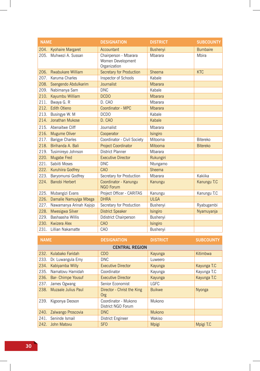| <b>NAME</b> |                             | <b>DESIGNATION</b>                                         | <b>DISTRICT</b> | <b>SUBCOUNTY</b> |
|-------------|-----------------------------|------------------------------------------------------------|-----------------|------------------|
| 204.        | Kyohaire Margaret           | Accountant                                                 | <b>Bushenyi</b> | <b>Bumbaire</b>  |
| 205.        | Muhwezi A. Sussan           | Chairperson - Mbarara<br>Women Development<br>Organization | Mbarara         | Mbira            |
|             | 206. Rwabukare William      | <b>Secretary for Production</b>                            | Sheema          | <b>KTC</b>       |
| 207.        | Karuma Charles              | Inspector of Schools                                       | Kabale          |                  |
| 208.        | Ssengendo Abdulkarim        | Journalist                                                 | <b>Mbarara</b>  |                  |
| 209.        | Nabimanya Sam               | <b>DNC</b>                                                 | Kabale          |                  |
| 210.        | Kayumbu William             | <b>DCDO</b>                                                | <b>Mbarara</b>  |                  |
| 211.        | Bwaya G. R                  | D. CAO                                                     | Mbarara         |                  |
| 212.        | <b>Edith Otieno</b>         | Coordinator - MPC                                          | <b>Mbarara</b>  |                  |
|             | 213. Busingye W. M.         | <b>DCDO</b>                                                | Kabale          |                  |
| 214.        | Jonathan Mukose             | D. CAO                                                     | Kabale          |                  |
|             | 215. Abenaitwe Cliff        | Journalist                                                 | Mbarara         |                  |
| 216.        | <b>Mugume Oliver</b>        | Cooperator                                                 | Isingiro        |                  |
| 217.        | <b>Barigye Charles</b>      | Coordinator - Civil Society                                | Mitooma         | Bitereko         |
| 218.        | Birihanda A. Bali           | <b>Project Coordinator</b>                                 | Mitooma         | <b>Bitereko</b>  |
| 219.        | Tusimireyo Johnson          | <b>District Planner</b>                                    | Mbarara         |                  |
| 220.        | Mugabe Fred                 | <b>Executive Director</b>                                  | Rukungiri       |                  |
| 221.        | Sabiiti Moses               | <b>DNC</b>                                                 | Ntungamo        |                  |
| 222.        | Kuruhiira Godfrey           | CAO                                                        | Sheema          |                  |
| 223.        | Baryomunsi Godfrey          | Secretary for Production                                   | Mbarara         | Kakiika          |
| 224.        | Banobi Herbert              | Coordinator - Kanungu<br><b>NGO Forum</b>                  | Kanungu         | Kanungu T.C      |
| 225.        | Mubangizi Evans             | Project Officer - CARITAS                                  | Kanungu         | Kanungu T.C      |
|             | 226. Damalie Namuyiga Mbega | <b>DHRA</b>                                                | <b>ULGA</b>     |                  |
| 227.        | Nawamanya Arinah Kajojo     | Secretary for Production                                   | Bushenyi        | Ryabugambi       |
| 228.        | Mwesigwa Silver             | <b>District Speaker</b>                                    | Isingiro        | Nyamuyanja       |
| 229.        | Bashaasha Willis            | <b>Ddistrict Chairperson</b>                               | Bushenyi        |                  |
|             | 230. Kwizera Alex           | CAO                                                        | Isingiro        |                  |
| 231.        | Lillian Nakamatte           | CAO                                                        | Bushenyi        |                  |

| <b>NAME</b> |                           | <b>DESIGNATION</b>                         | <b>DISTRICT</b> | <b>SUBCOUNTY</b> |  |  |
|-------------|---------------------------|--------------------------------------------|-----------------|------------------|--|--|
|             | <b>CENTRAL REGION</b>     |                                            |                 |                  |  |  |
| 232.        | Kulabako Faridah          | <b>CDO</b>                                 | Kayunga         | Kitimbwa         |  |  |
|             | 233. Dr. Luwangula Emy    | <b>DNC</b>                                 | Luweero         |                  |  |  |
| 234.        | Kabiyamba Willy           | <b>Executive Director</b>                  | Kayunga         | Kayunga T.C      |  |  |
| 235.        | Namatovu Hamidah          | Coordinator                                | Kayunga         | Kayunga T.C      |  |  |
| 236.        | <b>Bar- Chimpe Yousuf</b> | <b>Executive Director</b>                  | Kayunga         | Kayunga T.C      |  |  |
| 237.        | James Ogwang              | Senior Economist                           | <b>LGFC</b>     |                  |  |  |
|             | 238. Muzaale Julius Paul  | Director - Christ the King<br>Org          | <b>Buikwe</b>   | Nyonga           |  |  |
| 239.        | Kigoonya Deoson           | Coordinator - Mukono<br>District NGO Forum | Mukono          |                  |  |  |
| 240.        | Zalwango Proscovia        | DNC                                        | <b>Mukono</b>   |                  |  |  |
| 241.        | Seninde Ismail            | District Engineer                          | Wakiso          |                  |  |  |
| 242.        | John Matovu               | <b>SFO</b>                                 | <b>Mpigi</b>    | Mpigi T.C        |  |  |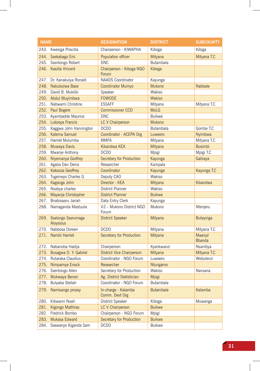| <b>NAME</b> |                                 | <b>DESIGNATION</b>                    | <b>DISTRICT</b>  | <b>SUBCOUNTY</b>         |
|-------------|---------------------------------|---------------------------------------|------------------|--------------------------|
|             | 243. Kwesiga Priscilla          | Chairperson - KIWAPHA                 | Kiboga           | Kibiga                   |
|             | 244. Ssekabago Eric             | Population officer                    | Mityana          | Mityana T.C              |
| 245.        | Ssentongo Robert                | <b>DNC</b>                            | Butambala        |                          |
|             | 246. Kasiita Vincent            | Chairperson - Kiboga NGO<br>Forum     | Kiboga           |                          |
|             | 247. Dr. Kanakulya Ronald       | <b>NAADS Coordinator</b>              | Kayunga          |                          |
|             | 248. Nakubulwa Base             | Coordinator Mumyo                     | Mukono           | <b>Nabbale</b>           |
|             | 249. David B. Mukiibi           | Speaker                               | Wakiso           |                          |
|             | 250. Abdul Muyimbwa             | <b>FOWODE</b>                         | Wakiso           |                          |
| 251.        | Nabwami Christine               | <b>ESSAFF</b>                         | Mityana          | Mityana T.C              |
|             | 252. Paul Bogere                | <b>Commissioner CCD</b>               | <b>MoLG</b>      |                          |
|             | 253. Kyambadde Maurice          | <b>DNC</b>                            | <b>Buikwe</b>    |                          |
|             | 254. Lukooya Francis            | LC V Chairperson                      | Mukono           |                          |
| 255.        | Kaggwa John Hannington          | <b>DCDO</b>                           | <b>Butambala</b> | Gombe T.C                |
| 256.        | Kalema Samuel                   | Coordinator - ACEPA Org               | Luweero          | Nyimbwa                  |
| 257.        | Harriet Mulumba                 | <b>MMFA</b>                           | Mityana          | Mityana T.C              |
|             | 258. Muwaya Davis               | Kikandwa KEA                          | Mityana          | <b>Busimbi</b>           |
| 259.        | Mwanje Anthony                  | <b>DCDO</b>                           | Mpigi            | Mpigi T.C                |
| 260.        | Niyemanya Godfrey               | Secretary for Production              | Kayunga          | Galiraya                 |
| 261.        | Agaba Dan Denis                 | Researcher                            | Kampala          |                          |
|             | 262. Kakooza Geoffrey           | Coordinator                           | Kayunga          | Kayunga T.C              |
|             | 263. Tugeineyo Charles G        | Deputy CAO                            | Wakiso           |                          |
|             | 264. Kaganga John               | Director - KEA                        | Mityana          | Kikandwa                 |
|             | 265. Nsobya charles             | District Planner                      | Wakiso           |                          |
| 266.        | Mayanja Christopher             | <b>District Planner</b>               | <b>Buikwe</b>    |                          |
| 267.        | Bnabisaaru Jariah               | Data Entry Clerk                      | Kayunga          |                          |
| 268.        | Namaganda Mastuula              | V.C - Mukono District NGO<br>Forum    | Mukono           | Ntenjeru                 |
| 269.        | Ssalongo Sserumaga<br>Aloysious | <b>District Speaker</b>               | Mityana          | <b>Butayinga</b>         |
|             | 270. Nabbosa Doreen             | <b>DCDO</b>                           | Mityana          | Mityana T.C              |
| 271.        | Nambi Harriet                   | Secretary for Production              | Mityana          | Maanyi/<br><b>Bbanda</b> |
|             | 272. Nabanoba Hadija            | Chairperson                           | Kyankwanzi       | Nsambya                  |
|             | 273. Busagwa D. Y. Gabriel      | <b>District Vice Chairperson</b>      | Mityana          | Mityana T.C              |
| 274.        | Rutaraka Claudius               | Coordinator - NGO Forum               | Luweero          | Wobulenzi                |
| 275.        | Nimpamya Enock                  | Researcher                            | Ntungamo         |                          |
| 276.        | Ssentongo Allen                 | Secretary for Production              | Wakiso           | Nansana                  |
| 277.        | Mukwaya Benon                   | Ag. District Statistician             | <b>Mpigi</b>     |                          |
| 278.        | Bulyaba Stellah                 | Coordinator - NGO Forum               | <b>Butambala</b> |                          |
| 279.        | Namisango prossy                | In-charge - Kalamba<br>Comm. Devt Org | <b>Butambala</b> | Kalamba                  |
| 280.        | Kibwami Noah                    | District Speaker                      | Kiboga           | Muwanga                  |
| 281.        | Kigongo Matthias                | <b>LC V Chairperson</b>               | <b>Buikwe</b>    |                          |
| 282.        | Fredrick Bombo                  | Chairperson - NGO Forum               | Mpigi            |                          |
| 283.        | Mukasa Edward                   | <b>Secretary for Production</b>       | <b>Buikwe</b>    |                          |
| 284.        | Ssewanyo Kiganda Sam            | <b>DCDO</b>                           | <b>Buikwe</b>    |                          |
|             |                                 |                                       |                  |                          |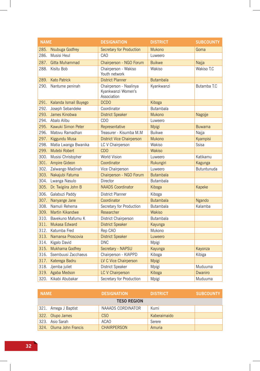| <b>NAME</b> |                            | <b>DESIGNATION</b>                                          | <b>DISTRICT</b>  | <b>SUBCOUNTY</b> |
|-------------|----------------------------|-------------------------------------------------------------|------------------|------------------|
|             | 285. Nsubuga Godfrey       | Secretary for Production                                    | <b>Mukono</b>    | Goma             |
| 286.        | Musisi Heul                | CAO                                                         | Luweero          |                  |
| 287.        | Gitta Muhammad             | Chairperson - NGO Forum                                     | <b>Buikwe</b>    | Najja            |
|             | 288. Kisitu Bob            | Chairperson - Wakiso<br>Youth network                       | Wakiso           | Wakiso T.C       |
|             | 289. Kato Patrick          | <b>District Planner</b>                                     | <b>Butambala</b> |                  |
|             | 290. Nantume peninah       | Chairperson - Naalinya<br>Kyankwanzi Women's<br>Association | Kyankwanzi       | Butamba T.C      |
|             | 291. Kalanda Ismail Buyego | <b>DCDO</b>                                                 | Kiboga           |                  |
| 292.        | Joseph Sebandeke           | Coordinator                                                 | <b>Butambala</b> |                  |
| 293.        | James Kinobwa              | <b>District Speaker</b>                                     | <b>Mukono</b>    | Nagojje          |
|             | 294. Abalo Alibu           | <b>CDO</b>                                                  | Luweero          |                  |
|             | 295. Kawuki Simon Peter    | Representative                                              | Mpigi            | <b>Buwama</b>    |
|             | 296. Matovu Ramadhan       | Treasurer - Kisumba M.M                                     | <b>Buikwe</b>    | Najja            |
|             | 297. Kiggundu Musa         | <b>District Vice Chairperson</b>                            | <b>Mukono</b>    | Kyampisi         |
| 298.        | Matia Lwanga Bwanika       | LC V Chairperson                                            | Wakiso           | Ssisa            |
| 299.        | Mutebi Robert              | <b>CDO</b>                                                  | <b>Wakiso</b>    |                  |
| 300.        | Musisi Christopher         | <b>World Vision</b>                                         | Luweero          | Katikamu         |
|             | 301. Ampire Gideon         | Coordinator                                                 | Rukungiri        | Kagunga          |
| 302.        | Zalwango Madinah           | Vice Chairperson                                            | Luweero          | Butuntunuda      |
|             | 303. Nakajubi Fatuma       | Chairperson - NGO Forum                                     | <b>Butambala</b> |                  |
|             | 304. Lwanga Nasulo         | Director                                                    | <b>Butambala</b> |                  |
|             | 305. Dr. Twigiira John B   | <b>NAADS Coordinator</b>                                    | Kiboga           | Kapeke           |
| 306.        | Galabuzi Paddy             | District Planner                                            | Kiboga           |                  |
| 307.        | Nanyange Jane              | Coordinator                                                 | <b>Butambala</b> | Ngando           |
| 308.        | Namuli Rehema              | Secretary for Production                                    | <b>Butambala</b> | Kalamba          |
| 309.        | <b>Martin Kikandwe</b>     | Researcher                                                  | <b>Wakiso</b>    |                  |
| 310.        | Bavekuno Mafumu K          | District Chairperson                                        | <b>Butambala</b> |                  |
| 311.        | Mukasa Edward              | <b>District Speaker</b>                                     | Kayunga          |                  |
| 312.        | Katumba Fred               | Rep CAO                                                     | Mukono           |                  |
|             | 313. Namansa Proscovia     | <b>District Speaker</b>                                     | Luweero          |                  |
|             | 314. Kigalo David          | <b>DNC</b>                                                  | Mpigi            |                  |
|             | 315. Mukhama Godfrey       | Secretary - NAPSU                                           | Kayunga          | Kayonza          |
| 316.        | Ssembuusi Zacchaeus        | Chairperson - KIAPPD                                        | Kiboga           | Kibiga           |
|             | 317. Katerega Badru        | LV C Vice Chairperson                                       | <b>Mpigi</b>     |                  |
| 318.        | Jjemba juliet              | District Speaker                                            | Mpigi            | Muduuma          |
|             | 319. Agaba Medson          | <b>LC V Chairperson</b>                                     | Kiboga           | Dwaniro          |
|             | 320. Kikabi Abubakar       | Secretary for Production                                    | Mpigi            | Muduuma          |

| <b>NAME</b> |                         | <b>DESIGNATION</b> | <b>DISTRICT</b> | <b>SUBCOUNTY</b> |  |
|-------------|-------------------------|--------------------|-----------------|------------------|--|
|             | <b>TESO REGION</b>      |                    |                 |                  |  |
|             | 321. Amega J Baptist    | NAAADS CORDINATOR  | Kumi            |                  |  |
|             | 322. Olupo James        | CSO                | Kaberaimaido    |                  |  |
|             | 323. Asio Sarah         | <b>ACAO</b>        | Serere          |                  |  |
|             | 324. Oluma John Francis | <b>CHAIRPERSON</b> | Amuria          |                  |  |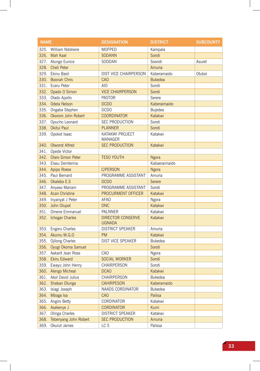| <b>NAME</b> |                          | <b>DESIGNATION</b>                        | <b>DISTRICT</b> | <b>SUBCOUNTY</b> |
|-------------|--------------------------|-------------------------------------------|-----------------|------------------|
|             | 325. William Ndolieire   | <b>MOFPED</b>                             | Kampala         |                  |
|             | 326. Mah Kaal            | <b>SODANN</b>                             | Soroti          |                  |
|             | 327. Atungo Eunice       | SODDAN                                    | Sooroti         | Asuret           |
|             | 328. Cheli Peter         |                                           | Amuria          |                  |
|             | 329. Ekinu Basil         | DIST VICE CHAIRPERSON                     | Kaberamaido     | Otuboi           |
| 330.        | <b>Boonah Chris</b>      | <b>CAO</b>                                | <b>Bukedea</b>  |                  |
| 331.        | Eceru Peter              | AIO                                       | Soroti          |                  |
|             | 332. Opado O Simon       | <b>VICE CHAIRPERSON</b>                   | Soroti          |                  |
|             | 333. Olado Apollo        | <b>PASTOR</b>                             | Serere          |                  |
|             | 334. Odela Nelson        | <b>DCDO</b>                               | Kaberaimaido    |                  |
|             | 335. Ongaba Stephen      | <b>DCDO</b>                               | Bujedea         |                  |
|             | 336. Okororo John Robert | <b>COORDINATOR</b>                        | Katakwi         |                  |
|             | 337. Opucho Leonard      | <b>SEC PRODUCTION</b>                     | Soroti          |                  |
|             | 338. Okitui Paul         | <b>PLANNER</b>                            | Soroti          |                  |
|             | 339. Opokot Isaac        | KATAKWI PROJECT<br><b>MANAGER</b>         | Katakwi         |                  |
|             | 340. Otworot Alfred      | <b>SEC PRODUCTION</b>                     | Katakwi         |                  |
|             | 341. Opede Victor        |                                           |                 |                  |
|             | 342. Olaro Simon Peter   | <b>TESO YOUTH</b>                         | Ngora           |                  |
| 343.        | Elasu Demterina          |                                           | Kabaeraimaido   |                  |
|             | 344. Apipo Roese         | <b>C/PERSON</b>                           | Ngora           |                  |
|             | 345. Paul Bernard        | PROGRAMME ASSISTANT                       | Amuria          |                  |
|             | 346. Okalebo E.S         | <b>DCDO</b>                               | Serere          |                  |
|             | 347. Anyaso Mariam       | PROGRAMME ASSISTANT                       | Soroti          |                  |
|             | 348. Acan Christine      | PROCURMENT OFFICER                        | Katakwi         |                  |
|             | 349. Inyanyat J Peter    | <b>AFAO</b>                               | Ngora           |                  |
|             | 350. John Olupot         | <b>DNC</b>                                | Katakwi         |                  |
|             | 351. Omene Emmanuel      | PALNNER                                   | Katakwi         |                  |
|             | 352. Ichogar Charles     | <b>DIRECTOR CONSERVE</b><br><b>UGNADA</b> | Katakwi         |                  |
|             | 353. Engoru Charles      | <b>DISTRICT SPEAKER</b>                   | Amuria          |                  |
|             | 354. Akumu M.G.O         | <b>PM</b>                                 | Katakwi         |                  |
|             | 355. Ojilong Charles     | DIST VICE SPEAKER                         | <b>Bukedea</b>  |                  |
|             | 356. Oyugi Okoma Samuel  |                                           | Soroti          |                  |
|             | 357. Aakarit Jean Rose   | CAO                                       | Ngora           |                  |
|             | 358. Ekiru Edward        | <b>SOCIAL WORKER</b>                      | Soroti          |                  |
|             | 359. Ewayu John Henry    | CHAIRPERSON                               | Soroti          |                  |
|             | 360. Alengo Micheal      | <b>DCAO</b>                               | Katakwi         |                  |
|             | 361. Akol David Julius   | CHAIRPERSON                               | <b>Bukedea</b>  |                  |
|             | 362. Shaban Dlunga       | <b>CAHIRPESON</b>                         | Kaberamaido     |                  |
| 363.        | Isiagi Joseph            | NAADS CORDINATOR                          | <b>Bukedea</b>  |                  |
| 364.        | Mboga Isa                | CAO                                       | Paliisa         |                  |
|             | 365. Angiro Betty        | CORDINATOR                                | Katakwi         |                  |
|             | 366. Asekenye J          | <b>CORDINATOR</b>                         | Kumi            |                  |
|             | 367. Olinga Charles      | <b>DISTRICT SPEAKER</b>                   | Katakwi         |                  |
| 368.        | Tebenyang John Robert    | <b>SEC PRODUCTION</b>                     | Amuria          |                  |
| 369.        | Okurut James             | LC <sub>5</sub>                           | Palissa         |                  |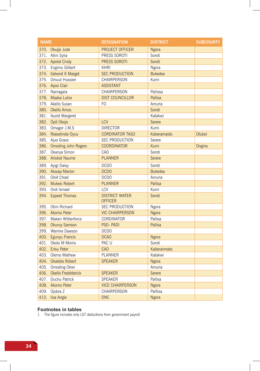| <b>NAME</b> |                            | <b>DESIGNATION</b>                      | <b>DISTRICT</b> | <b>SUBCOUNTY</b> |
|-------------|----------------------------|-----------------------------------------|-----------------|------------------|
|             | 370. Okujje Jude           | <b>PROJECT OFFICER</b>                  | Ngora           |                  |
|             | 371. Atim Sylia            | PRESS SOROTI                            | Soroti          |                  |
|             | 372. Apolot Cindy          | PRESS SOROTI                            | Soroti          |                  |
|             | 373. Engimu Gilbert        | <b>KHRI</b>                             | Ngora           |                  |
| 374.        | <b>Ilaborot K Marget</b>   | <b>SEC PRODUCTION</b>                   | <b>Bukedea</b>  |                  |
| 375.        | Omuut Hussien              | CHAIRPERSON                             | Kumi            |                  |
|             | 376. Apoo Clair            | <b>ASSISTANT</b>                        |                 |                  |
|             | 377. Namagala              | CHAIRPERSON                             | Paliissa        |                  |
| 378.        | Maaka Lukia                | <b>DIST COUNCILLOR</b>                  | <b>Pallisa</b>  |                  |
| 379.        | Akello Susan               | F <sub>O</sub>                          | Amuria          |                  |
|             | 380. Okello Amos           |                                         | Soroti          |                  |
|             | 381. Ikurot Margeret       |                                         | Katakwi         |                  |
|             | 382. Opit Okojo            | LCV                                     | Serere          |                  |
|             | 383. Omagor J.M.S          | <b>DIRECTOR</b>                         | Kumi            |                  |
|             | 384. Roeselinda Oyuu       | <b>CORDINATOR TASO</b>                  | Kaberamaido     | Otuboi           |
|             | 385. Ajuo Grace            | <b>SEC PRODUCTION</b>                   | Serere          |                  |
| 386.        | <b>Omoding John Rogers</b> | <b>COORDINATOR</b>                      | Kumi            | Ongino           |
| 387.        | Okanya Simon               | CAO                                     | Soroti          |                  |
|             | 388. Ariokot Naume         | <b>PLANNER</b>                          | Serere          |                  |
|             | 389. Ayigi Daisy           | <b>DCDO</b>                             | Soroti          |                  |
|             | 390. Akwap Marion          | <b>DCDO</b>                             | <b>Bukedea</b>  |                  |
|             | 391. Oloit Choel           | <b>DCDO</b>                             | Amuria          |                  |
| 392.        | Mukesi Robert              | <b>PLANNER</b>                          | Pallisa         |                  |
| 393.        | Orot Ismael                | LCV                                     | Kumi            |                  |
| 394.        | <b>Eppeet Thomas</b>       | <b>DISTRICT WATER</b><br><b>OFFICER</b> | Soroti          |                  |
| 395.        | Otim Richard               | <b>SEC PRODUCTION</b>                   | Ngora           |                  |
|             | 396. Akomo Peter           | <b>VIC CHAIRPERSON</b>                  | <b>Ngora</b>    |                  |
| 397.        | Makeri Wilberforce         | CORDINATOR                              | Pallisa         |                  |
|             | 398. Okuruy Samson         | PSO-PADI                                | Pallisa         |                  |
|             | 399. Wamire Dawson         | <b>DCDO</b>                             |                 |                  |
|             | 400. Egunyu Francis        | <b>DCAO</b>                             | Ngora           |                  |
|             | 401. Okolo M Morris        | PAC U                                   | Soroti          |                  |
|             | 402. Erisu Peter           | CAO                                     | Kaberaimodo     |                  |
|             | 403. Olemo Mathew          | PLANNER                                 | Katakwi         |                  |
|             | 404. Okalebo Robert        | <b>SPEAKER</b>                          | <b>Ngora</b>    |                  |
|             | 405. Omoding Okwi          |                                         | Amuria          |                  |
| 406.        | Okello Freddderick         | <b>SPEAKER</b>                          | Serere          |                  |
| 407.        | Duchu Patrick              | <b>SPEAKER</b>                          | Pallisa         |                  |
| 408.        | Akomo Peter                | <b>VICE CHAIRPERSON</b>                 | <b>Ngora</b>    |                  |
| 409.        | Ojobra Z                   | CHAIRPERSON                             | Palllisa        |                  |
| 410.        | lisa Angie                 | <b>DNC</b>                              | <b>Ngora</b>    |                  |

#### **Footnotes in tables**

1 The figure includes only LST deductions from government payroll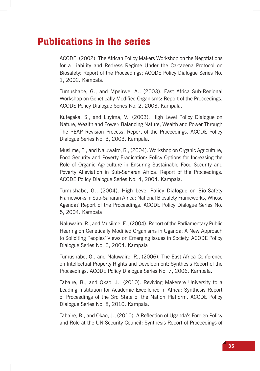# Publications in the series

ACODE, (2002). The African Policy Makers Workshop on the Negotiations for a Liability and Redress Regime Under the Cartagena Protocol on Biosafety: Report of the Proceedings; ACODE Policy Dialogue Series No. 1, 2002. Kampala.

Tumushabe, G., and Mpeirwe, A., (2003). East Africa Sub-Regional Workshop on Genetically Modified Organisms: Report of the Proceedings. ACODE Policy Dialogue Series No. 2, 2003. Kampala.

Kutegeka, S., and Luyima, V., (2003). High Level Policy Dialogue on Nature, Wealth and Power: Balancing Nature, Wealth and Power Through The PEAP Revision Process, Report of the Proceedings. ACODE Policy Dialogue Series No. 3, 2003. Kampala.

Musiime, E., and Naluwairo, R., (2004). Workshop on Organic Agriculture, Food Security and Poverty Eradication: Policy Options for Increasing the Role of Organic Agriculture in Ensuring Sustainable Food Security and Poverty Alleviation in Sub-Saharan Africa: Report of the Proceedings. ACODE Policy Dialogue Series No. 4, 2004. Kampala.

Tumushabe, G., (2004). High Level Policy Dialogue on Bio-Safety Frameworks in Sub-Saharan Africa: National Biosafety Frameworks, Whose Agenda? Report of the Proceedings. ACODE Policy Dialogue Series No. 5, 2004. Kampala

Naluwairo, R., and Musiime, E., (2004). Report of the Parliamentary Public Hearing on Genetically Modified Organisms in Uganda: A New Approach to Soliciting Peoples' Views on Emerging Issues in Society. ACODE Policy Dialogue Series No. 6, 2004. Kampala

Tumushabe, G., and Naluwairo, R., (2006). The East Africa Conference on Intellectual Property Rights and Development: Synthesis Report of the Proceedings. ACODE Policy Dialogue Series No. 7, 2006. Kampala.

Tabaire, B., and Okao, J., (2010). Reviving Makerere University to a Leading Institution for Academic Excellence in Africa: Synthesis Report of Proceedings of the 3rd State of the Nation Platform. ACODE Policy Dialogue Series No. 8, 2010. Kampala.

Tabaire, B., and Okao, J., (2010). A Reflection of Uganda's Foreign Policy and Role at the UN Security Council: Synthesis Report of Proceedings of